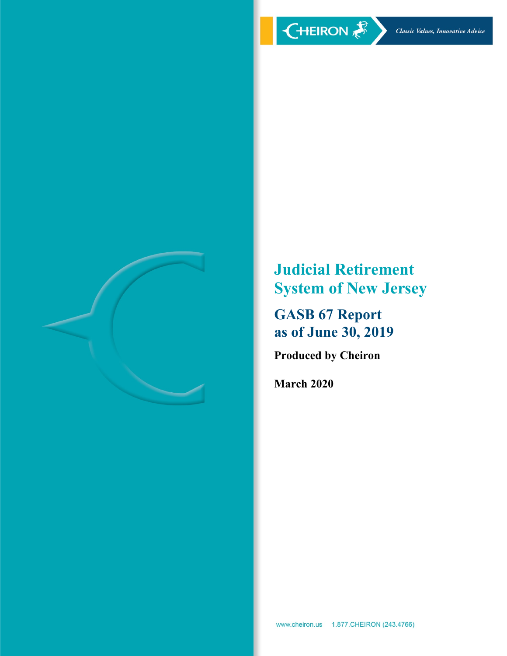

**Judicial Retirement System of New Jersey**

**GASB 67 Report as of June 30, 2019**

**Produced by Cheiron**

**March 2020**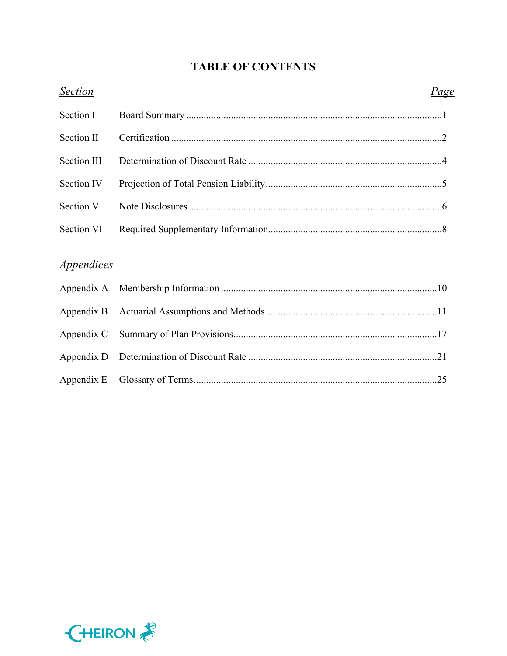# **TABLE OF CONTENTS**

| <b>Section</b>                  | Page |
|---------------------------------|------|
| Section I                       |      |
| Section II                      |      |
| <b>Section III</b>              |      |
| Section IV                      |      |
| Section V                       |      |
| Section VI                      |      |
|                                 |      |
| <i><u><b>Appendices</b></u></i> |      |
| Appendix A                      |      |
| Appendix B                      |      |
| Appendix C                      |      |
| Appendix D                      |      |
| Appendix E                      |      |

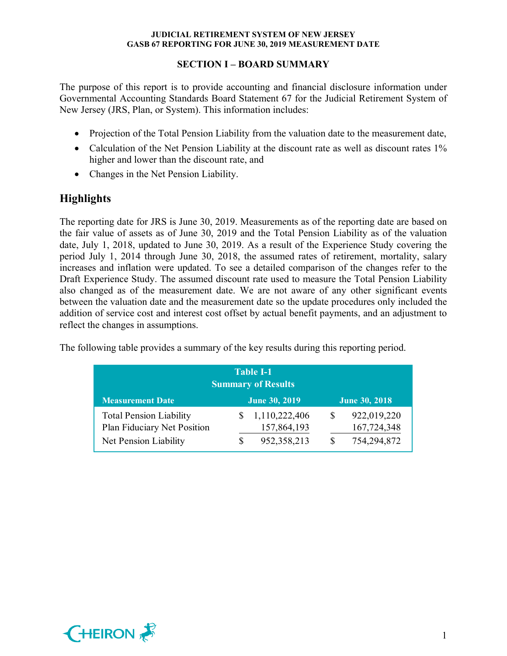## **SECTION I – BOARD SUMMARY**

The purpose of this report is to provide accounting and financial disclosure information under Governmental Accounting Standards Board Statement 67 for the Judicial Retirement System of New Jersey (JRS, Plan, or System). This information includes:

- Projection of the Total Pension Liability from the valuation date to the measurement date,
- Calculation of the Net Pension Liability at the discount rate as well as discount rates 1% higher and lower than the discount rate, and
- Changes in the Net Pension Liability.

# **Highlights**

The reporting date for JRS is June 30, 2019. Measurements as of the reporting date are based on the fair value of assets as of June 30, 2019 and the Total Pension Liability as of the valuation date, July 1, 2018, updated to June 30, 2019. As a result of the Experience Study covering the period July 1, 2014 through June 30, 2018, the assumed rates of retirement, mortality, salary increases and inflation were updated. To see a detailed comparison of the changes refer to the Draft Experience Study. The assumed discount rate used to measure the Total Pension Liability also changed as of the measurement date. We are not aware of any other significant events between the valuation date and the measurement date so the update procedures only included the addition of service cost and interest cost offset by actual benefit payments, and an adjustment to reflect the changes in assumptions.

The following table provides a summary of the key results during this reporting period.

| <b>Table I-1</b><br><b>Summary of Results</b>                 |   |                              |          |                            |  |  |  |
|---------------------------------------------------------------|---|------------------------------|----------|----------------------------|--|--|--|
| <b>Measurement Date</b>                                       |   | <b>June 30, 2019</b>         |          | <b>June 30, 2018</b>       |  |  |  |
| <b>Total Pension Liability</b><br>Plan Fiduciary Net Position | S | 1,110,222,406<br>157,864,193 | <b>S</b> | 922,019,220<br>167,724,348 |  |  |  |
| Net Pension Liability                                         | S | 952,358,213                  |          | 754,294,872                |  |  |  |

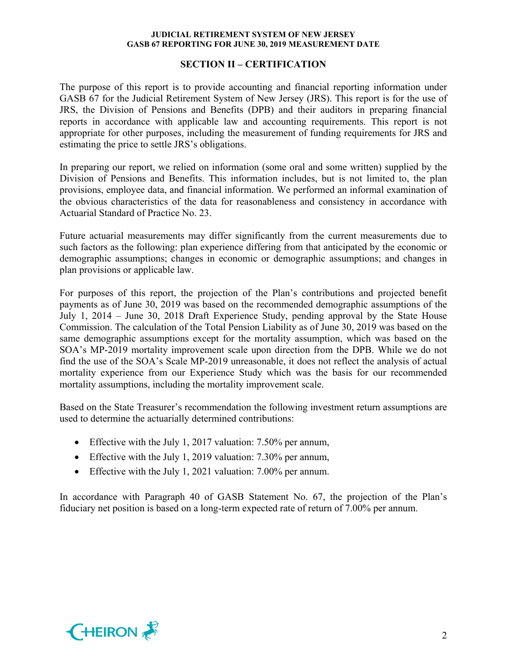#### **SECTION II – CERTIFICATION**

The purpose of this report is to provide accounting and financial reporting information under GASB 67 for the Judicial Retirement System of New Jersey (JRS). This report is for the use of JRS, the Division of Pensions and Benefits (DPB) and their auditors in preparing financial reports in accordance with applicable law and accounting requirements. This report is not appropriate for other purposes, including the measurement of funding requirements for JRS and estimating the price to settle JRS's obligations.

In preparing our report, we relied on information (some oral and some written) supplied by the Division of Pensions and Benefits. This information includes, but is not limited to, the plan provisions, employee data, and financial information. We performed an informal examination of the obvious characteristics of the data for reasonableness and consistency in accordance with Actuarial Standard of Practice No. 23.

Future actuarial measurements may differ significantly from the current measurements due to such factors as the following: plan experience differing from that anticipated by the economic or demographic assumptions; changes in economic or demographic assumptions; and changes in plan provisions or applicable law.

For purposes of this report, the projection of the Plan's contributions and projected benefit payments as of June 30, 2019 was based on the recommended demographic assumptions of the July 1, 2014 – June 30, 2018 Draft Experience Study, pending approval by the State House Commission. The calculation of the Total Pension Liability as of June 30, 2019 was based on the same demographic assumptions except for the mortality assumption, which was based on the SOA's MP-2019 mortality improvement scale upon direction from the DPB. While we do not find the use of the SOA's Scale MP-2019 unreasonable, it does not reflect the analysis of actual mortality experience from our Experience Study which was the basis for our recommended mortality assumptions, including the mortality improvement scale.

Based on the State Treasurer's recommendation the following investment return assumptions are used to determine the actuarially determined contributions:

- Effective with the July 1, 2017 valuation: 7.50% per annum,
- Effective with the July 1, 2019 valuation: 7.30% per annum,
- Effective with the July 1, 2021 valuation: 7.00% per annum.

In accordance with Paragraph 40 of GASB Statement No. 67, the projection of the Plan's fiduciary net position is based on a long-term expected rate of return of 7.00% per annum.

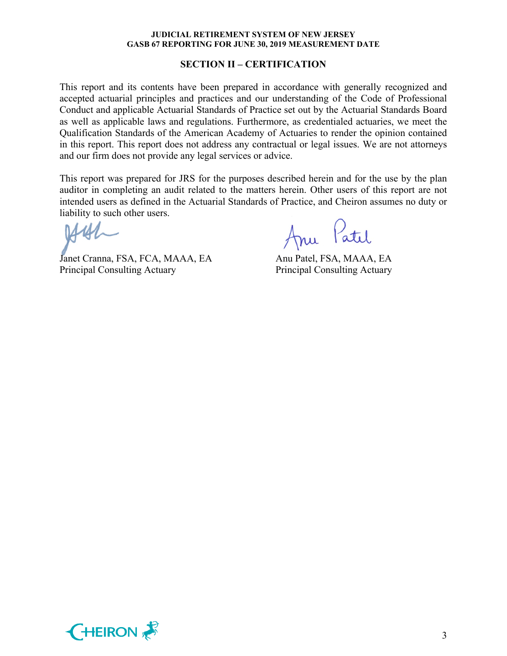#### **SECTION II – CERTIFICATION**

This report and its contents have been prepared in accordance with generally recognized and accepted actuarial principles and practices and our understanding of the Code of Professional Conduct and applicable Actuarial Standards of Practice set out by the Actuarial Standards Board as well as applicable laws and regulations. Furthermore, as credentialed actuaries, we meet the Qualification Standards of the American Academy of Actuaries to render the opinion contained in this report. This report does not address any contractual or legal issues. We are not attorneys and our firm does not provide any legal services or advice.

This report was prepared for JRS for the purposes described herein and for the use by the plan auditor in completing an audit related to the matters herein. Other users of this report are not intended users as defined in the Actuarial Standards of Practice, and Cheiron assumes no duty or liability to such other users.

Janet Cranna, FSA, FCA, MAAA, EA Anu Patel, FSA, MAAA, EA Principal Consulting Actuary Principal Consulting Actuary

Anu Patil

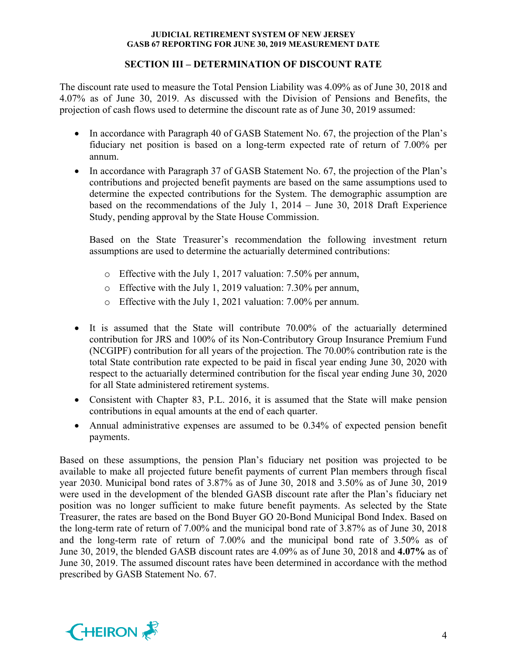## **SECTION III – DETERMINATION OF DISCOUNT RATE**

The discount rate used to measure the Total Pension Liability was 4.09% as of June 30, 2018 and 4.07% as of June 30, 2019. As discussed with the Division of Pensions and Benefits, the projection of cash flows used to determine the discount rate as of June 30, 2019 assumed:

- In accordance with Paragraph 40 of GASB Statement No. 67, the projection of the Plan's fiduciary net position is based on a long-term expected rate of return of 7.00% per annum.
- In accordance with Paragraph 37 of GASB Statement No. 67, the projection of the Plan's contributions and projected benefit payments are based on the same assumptions used to determine the expected contributions for the System. The demographic assumption are based on the recommendations of the July 1, 2014 – June 30, 2018 Draft Experience Study, pending approval by the State House Commission.

Based on the State Treasurer's recommendation the following investment return assumptions are used to determine the actuarially determined contributions:

- o Effective with the July 1, 2017 valuation: 7.50% per annum,
- o Effective with the July 1, 2019 valuation: 7.30% per annum,
- o Effective with the July 1, 2021 valuation: 7.00% per annum.
- It is assumed that the State will contribute 70.00% of the actuarially determined contribution for JRS and 100% of its Non-Contributory Group Insurance Premium Fund (NCGIPF) contribution for all years of the projection. The 70.00% contribution rate is the total State contribution rate expected to be paid in fiscal year ending June 30, 2020 with respect to the actuarially determined contribution for the fiscal year ending June 30, 2020 for all State administered retirement systems.
- Consistent with Chapter 83, P.L. 2016, it is assumed that the State will make pension contributions in equal amounts at the end of each quarter.
- Annual administrative expenses are assumed to be 0.34% of expected pension benefit payments.

Based on these assumptions, the pension Plan's fiduciary net position was projected to be available to make all projected future benefit payments of current Plan members through fiscal year 2030. Municipal bond rates of 3.87% as of June 30, 2018 and 3.50% as of June 30, 2019 were used in the development of the blended GASB discount rate after the Plan's fiduciary net position was no longer sufficient to make future benefit payments. As selected by the State Treasurer, the rates are based on the Bond Buyer GO 20-Bond Municipal Bond Index. Based on the long-term rate of return of 7.00% and the municipal bond rate of 3.87% as of June 30, 2018 and the long-term rate of return of 7.00% and the municipal bond rate of 3.50% as of June 30, 2019, the blended GASB discount rates are 4.09% as of June 30, 2018 and **4.07%** as of June 30, 2019. The assumed discount rates have been determined in accordance with the method prescribed by GASB Statement No. 67.

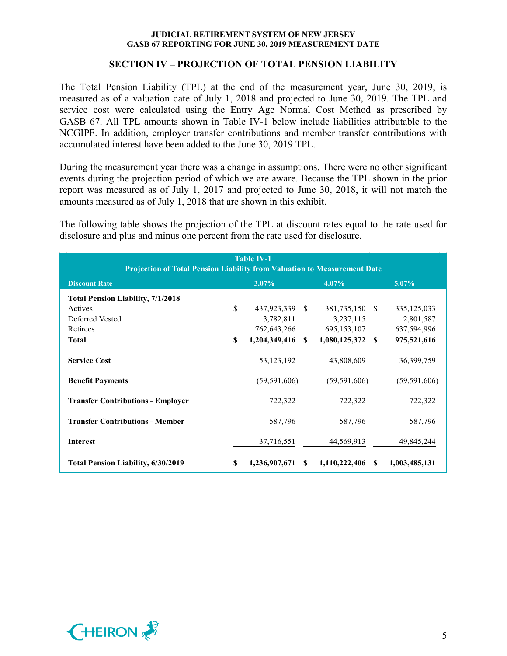## **SECTION IV – PROJECTION OF TOTAL PENSION LIABILITY**

The Total Pension Liability (TPL) at the end of the measurement year, June 30, 2019, is measured as of a valuation date of July 1, 2018 and projected to June 30, 2019. The TPL and service cost were calculated using the Entry Age Normal Cost Method as prescribed by GASB 67. All TPL amounts shown in Table IV-1 below include liabilities attributable to the NCGIPF. In addition, employer transfer contributions and member transfer contributions with accumulated interest have been added to the June 30, 2019 TPL.

During the measurement year there was a change in assumptions. There were no other significant events during the projection period of which we are aware. Because the TPL shown in the prior report was measured as of July 1, 2017 and projected to June 30, 2018, it will not match the amounts measured as of July 1, 2018 that are shown in this exhibit.

The following table shows the projection of the TPL at discount rates equal to the rate used for disclosure and plus and minus one percent from the rate used for disclosure.

| <b>Table IV-1</b><br><b>Projection of Total Pension Liability from Valuation to Measurement Date</b> |              |                |              |                |              |                |
|------------------------------------------------------------------------------------------------------|--------------|----------------|--------------|----------------|--------------|----------------|
| <b>Discount Rate</b>                                                                                 |              | $3.07\%$       |              | $4.07\%$       |              | 5.07%          |
| <b>Total Pension Liability, 7/1/2018</b>                                                             |              |                |              |                |              |                |
| Actives                                                                                              | \$           | 437,923,339 \$ |              | 381,735,150 \$ |              | 335, 125, 033  |
| Deferred Vested                                                                                      |              | 3,782,811      |              | 3,237,115      |              | 2,801,587      |
| Retirees                                                                                             |              | 762,643,266    |              | 695, 153, 107  |              | 637,594,996    |
| <b>Total</b>                                                                                         | $\mathbf{s}$ | 1,204,349,416  | $\mathbf{s}$ | 1,080,125,372  | $\mathbf{s}$ | 975,521,616    |
| <b>Service Cost</b>                                                                                  |              | 53, 123, 192   |              | 43,808,609     |              | 36, 399, 759   |
| <b>Benefit Payments</b>                                                                              |              | (59, 591, 606) |              | (59, 591, 606) |              | (59, 591, 606) |
| <b>Transfer Contributions - Employer</b>                                                             |              | 722,322        |              | 722,322        |              | 722,322        |
| <b>Transfer Contributions - Member</b>                                                               |              | 587,796        |              | 587,796        |              | 587,796        |
| <b>Interest</b>                                                                                      |              | 37,716,551     |              | 44,569,913     |              | 49,845,244     |
| <b>Total Pension Liability, 6/30/2019</b>                                                            | S            | 1,236,907,671  | S.           | 1,110,222,406  | -SS          | 1,003,485,131  |

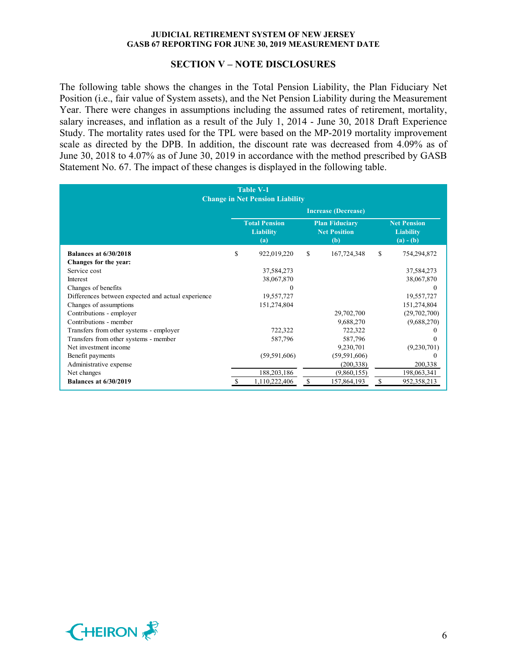#### **SECTION V – NOTE DISCLOSURES**

The following table shows the changes in the Total Pension Liability, the Plan Fiduciary Net Position (i.e., fair value of System assets), and the Net Pension Liability during the Measurement Year. There were changes in assumptions including the assumed rates of retirement, mortality, salary increases, and inflation as a result of the July 1, 2014 - June 30, 2018 Draft Experience Study. The mortality rates used for the TPL were based on the MP-2019 mortality improvement scale as directed by the DPB. In addition, the discount rate was decreased from 4.09% as of June 30, 2018 to 4.07% as of June 30, 2019 in accordance with the method prescribed by GASB Statement No. 67. The impact of these changes is displayed in the following table.

|                                                    | <b>Table V-1</b><br><b>Change in Net Pension Liability</b> |   |                                                     |    |                                                       |
|----------------------------------------------------|------------------------------------------------------------|---|-----------------------------------------------------|----|-------------------------------------------------------|
|                                                    |                                                            |   | <b>Increase (Decrease)</b>                          |    |                                                       |
|                                                    | <b>Total Pension</b><br><b>Liability</b><br>(a)            |   | <b>Plan Fiduciary</b><br><b>Net Position</b><br>(b) |    | <b>Net Pension</b><br><b>Liability</b><br>$(a) - (b)$ |
| <b>Balances at 6/30/2018</b>                       | \$<br>922,019,220                                          | S | 167,724,348                                         | \$ | 754,294,872                                           |
| Changes for the year:                              |                                                            |   |                                                     |    |                                                       |
| Service cost                                       | 37,584,273                                                 |   |                                                     |    | 37,584,273                                            |
| Interest                                           | 38,067,870                                                 |   |                                                     |    | 38,067,870                                            |
| Changes of benefits                                | 0                                                          |   |                                                     |    | 0                                                     |
| Differences between expected and actual experience | 19,557,727                                                 |   |                                                     |    | 19,557,727                                            |
| Changes of assumptions                             | 151,274,804                                                |   |                                                     |    | 151,274,804                                           |
| Contributions - employer                           |                                                            |   | 29,702,700                                          |    | (29,702,700)                                          |
| Contributions - member                             |                                                            |   | 9,688,270                                           |    | (9,688,270)                                           |
| Transfers from other systems - employer            | 722,322                                                    |   | 722,322                                             |    | $\theta$                                              |
| Transfers from other systems - member              | 587,796                                                    |   | 587,796                                             |    | 0                                                     |
| Net investment income                              |                                                            |   | 9,230,701                                           |    | (9,230,701)                                           |
| Benefit payments                                   | (59, 591, 606)                                             |   | (59, 591, 606)                                      |    | $_{0}$                                                |
| Administrative expense                             |                                                            |   | (200, 338)                                          |    | 200,338                                               |
| Net changes                                        | 188,203,186                                                |   | (9,860,155)                                         |    | 198,063,341                                           |
| <b>Balances at 6/30/2019</b>                       | 1,110,222,406                                              | S | 157,864,193                                         | S  | 952,358,213                                           |

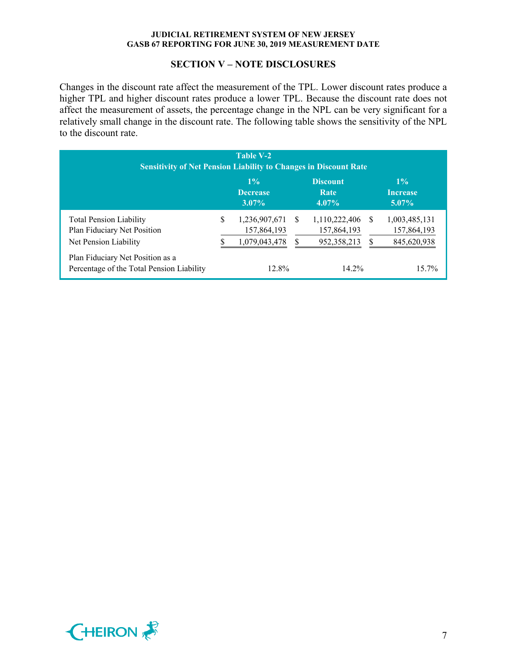## **SECTION V – NOTE DISCLOSURES**

Changes in the discount rate affect the measurement of the TPL. Lower discount rates produce a higher TPL and higher discount rates produce a lower TPL. Because the discount rate does not affect the measurement of assets, the percentage change in the NPL can be very significant for a relatively small change in the discount rate. The following table shows the sensitivity of the NPL to the discount rate.

| Table V-2<br><b>Sensitivity of Net Pension Liability to Changes in Discount Rate</b>   |   |                                               |    |                                             |          |                                             |
|----------------------------------------------------------------------------------------|---|-----------------------------------------------|----|---------------------------------------------|----------|---------------------------------------------|
|                                                                                        |   | $1\%$<br><b>Decrease</b><br>$3.07\%$          |    | <b>Discount</b><br>Rate<br>$4.07\%$         |          | $1\%$<br><b>Increase</b><br>$5.07\%$        |
| <b>Total Pension Liability</b><br>Plan Fiduciary Net Position<br>Net Pension Liability | S | 1,236,907,671<br>157,864,193<br>1,079,043,478 | -S | 1,110,222,406<br>157,864,193<br>952,358,213 | \$.<br>S | 1,003,485,131<br>157,864,193<br>845,620,938 |
| Plan Fiduciary Net Position as a<br>Percentage of the Total Pension Liability          |   | 12.8%                                         |    | $14.2\%$                                    |          | 15.7%                                       |

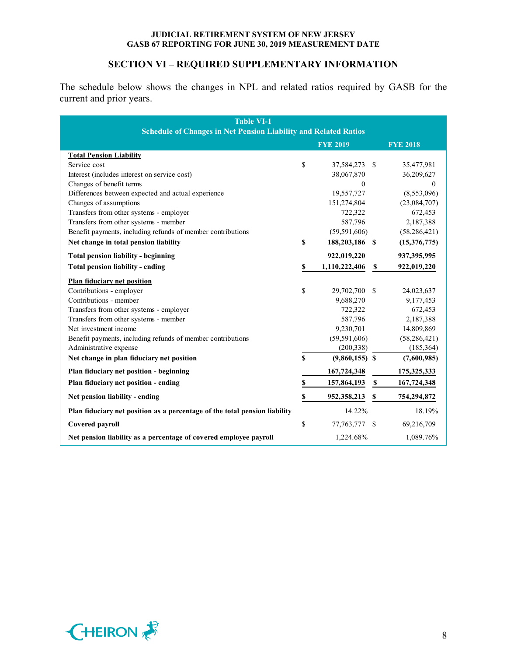## **SECTION VI – REQUIRED SUPPLEMENTARY INFORMATION**

The schedule below shows the changes in NPL and related ratios required by GASB for the current and prior years.

| <b>Table VI-1</b><br><b>Schedule of Changes in Net Pension Liability and Related Ratios</b> |    |                  |             |                 |  |
|---------------------------------------------------------------------------------------------|----|------------------|-------------|-----------------|--|
|                                                                                             |    | <b>FYE 2019</b>  |             | <b>FYE 2018</b> |  |
| <b>Total Pension Liability</b>                                                              |    |                  |             |                 |  |
| Service cost                                                                                | \$ | 37,584,273 \$    |             | 35,477,981      |  |
| Interest (includes interest on service cost)                                                |    | 38,067,870       |             | 36,209,627      |  |
| Changes of benefit terms                                                                    |    | $\theta$         |             | $\mathbf{0}$    |  |
| Differences between expected and actual experience                                          |    | 19,557,727       |             | (8,553,096)     |  |
| Changes of assumptions                                                                      |    | 151,274,804      |             | (23,084,707)    |  |
| Transfers from other systems - employer                                                     |    | 722,322          |             | 672,453         |  |
| Transfers from other systems - member                                                       |    | 587,796          |             | 2,187,388       |  |
| Benefit payments, including refunds of member contributions                                 |    | (59, 591, 606)   |             | (58, 286, 421)  |  |
| Net change in total pension liability                                                       | \$ | 188,203,186 \$   |             | (15,376,775)    |  |
| <b>Total pension liability - beginning</b>                                                  |    | 922,019,220      |             | 937,395,995     |  |
| <b>Total pension liability - ending</b>                                                     | \$ | 1,110,222,406    | $\mathbf S$ | 922,019,220     |  |
| <b>Plan fiduciary net position</b>                                                          |    |                  |             |                 |  |
| Contributions - employer                                                                    | \$ | 29,702,700       | -S          | 24,023,637      |  |
| Contributions - member                                                                      |    | 9,688,270        |             | 9,177,453       |  |
| Transfers from other systems - employer                                                     |    | 722,322          |             | 672,453         |  |
| Transfers from other systems - member                                                       |    | 587,796          |             | 2,187,388       |  |
| Net investment income                                                                       |    | 9,230,701        |             | 14,809,869      |  |
| Benefit payments, including refunds of member contributions                                 |    | (59, 591, 606)   |             | (58, 286, 421)  |  |
| Administrative expense                                                                      |    | (200, 338)       |             | (185, 364)      |  |
| Net change in plan fiduciary net position                                                   | S  | $(9,860,155)$ \$ |             | (7,600,985)     |  |
| Plan fiduciary net position - beginning                                                     |    | 167,724,348      |             | 175, 325, 333   |  |
| Plan fiduciary net position - ending                                                        | \$ | 157,864,193      | $\mathbb S$ | 167,724,348     |  |
| Net pension liability - ending                                                              | \$ | 952,358,213      | \$          | 754,294,872     |  |
| Plan fiduciary net position as a percentage of the total pension liability                  |    | 14.22%           |             | 18.19%          |  |
| Covered payroll                                                                             | \$ | 77, 763, 777     | -S          | 69,216,709      |  |
| Net pension liability as a percentage of covered employee payroll                           |    | 1,224.68%        |             | 1,089.76%       |  |

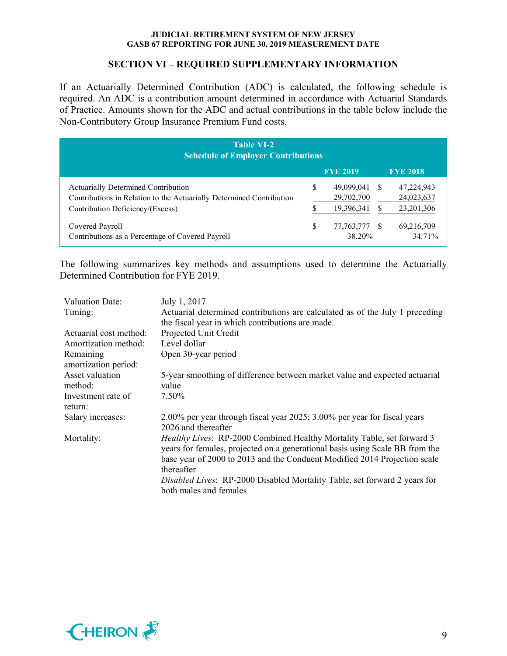## **SECTION VI – REQUIRED SUPPLEMENTARY INFORMATION**

If an Actuarially Determined Contribution (ADC) is calculated, the following schedule is required. An ADC is a contribution amount determined in accordance with Actuarial Standards of Practice. Amounts shown for the ADC and actual contributions in the table below include the Non-Contributory Group Insurance Premium Fund costs.

| <b>Table VI-2</b><br><b>Schedule of Employer Contributions</b>                                                                                         |   |                                        |     |                                        |  |  |
|--------------------------------------------------------------------------------------------------------------------------------------------------------|---|----------------------------------------|-----|----------------------------------------|--|--|
|                                                                                                                                                        |   | <b>FYE 2019</b>                        |     | <b>FYE 2018</b>                        |  |  |
| <b>Actuarially Determined Contribution</b><br>Contributions in Relation to the Actuarially Determined Contribution<br>Contribution Deficiency/(Excess) | S | 49,099,041<br>29,702,700<br>19,396,341 | - S | 47,224,943<br>24,023,637<br>23,201,306 |  |  |
| Covered Payroll<br>Contributions as a Percentage of Covered Payroll                                                                                    | S | 77,763,777 \$<br>38.20%                |     | 69,216,709<br>34.71%                   |  |  |

The following summarizes key methods and assumptions used to determine the Actuarially Determined Contribution for FYE 2019.

| Valuation Date:        | July 1, 2017                                                                 |
|------------------------|------------------------------------------------------------------------------|
| Timing:                | Actuarial determined contributions are calculated as of the July 1 preceding |
|                        | the fiscal year in which contributions are made.                             |
| Actuarial cost method: | Projected Unit Credit                                                        |
| Amortization method:   | Level dollar                                                                 |
| Remaining              | Open 30-year period                                                          |
| amortization period:   |                                                                              |
| Asset valuation        | 5-year smoothing of difference between market value and expected actuarial   |
| method:                | value                                                                        |
| Investment rate of     | 7.50%                                                                        |
| return:                |                                                                              |
| Salary increases:      | 2.00% per year through fiscal year 2025; 3.00% per year for fiscal years     |
|                        | 2026 and thereafter                                                          |
| Mortality:             | Healthy Lives: RP-2000 Combined Healthy Mortality Table, set forward 3       |
|                        | years for females, projected on a generational basis using Scale BB from the |
|                        | base year of 2000 to 2013 and the Conduent Modified 2014 Projection scale    |
|                        | thereafter                                                                   |
|                        | Disabled Lives: RP-2000 Disabled Mortality Table, set forward 2 years for    |
|                        | both males and females                                                       |

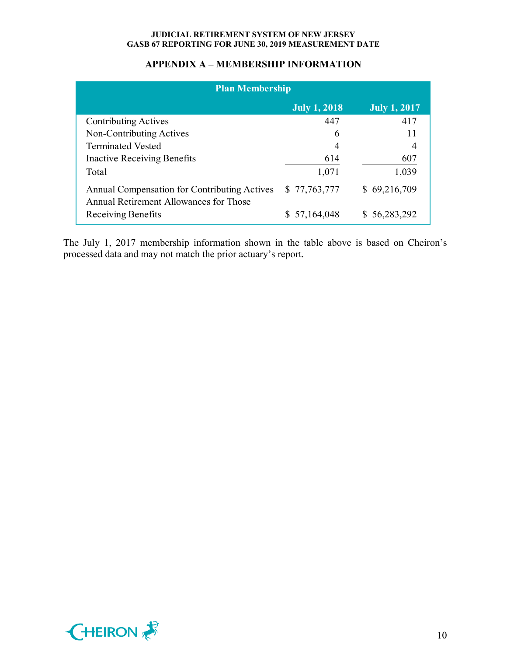## **APPENDIX A – MEMBERSHIP INFORMATION**

| <b>Plan Membership</b>                                                                 |                     |                     |  |  |  |  |
|----------------------------------------------------------------------------------------|---------------------|---------------------|--|--|--|--|
|                                                                                        | <b>July 1, 2018</b> | <b>July 1, 2017</b> |  |  |  |  |
| <b>Contributing Actives</b>                                                            | 447                 | 417                 |  |  |  |  |
| Non-Contributing Actives                                                               | 6                   | 11                  |  |  |  |  |
| <b>Terminated Vested</b>                                                               | 4                   |                     |  |  |  |  |
| Inactive Receiving Benefits                                                            | 614                 | 607                 |  |  |  |  |
| Total                                                                                  | 1,071               | 1,039               |  |  |  |  |
| Annual Compensation for Contributing Actives<br>Annual Retirement Allowances for Those | \$77,763,777        | \$69,216,709        |  |  |  |  |
| Receiving Benefits                                                                     | \$57,164,048        | \$56,283,292        |  |  |  |  |

The July 1, 2017 membership information shown in the table above is based on Cheiron's processed data and may not match the prior actuary's report.

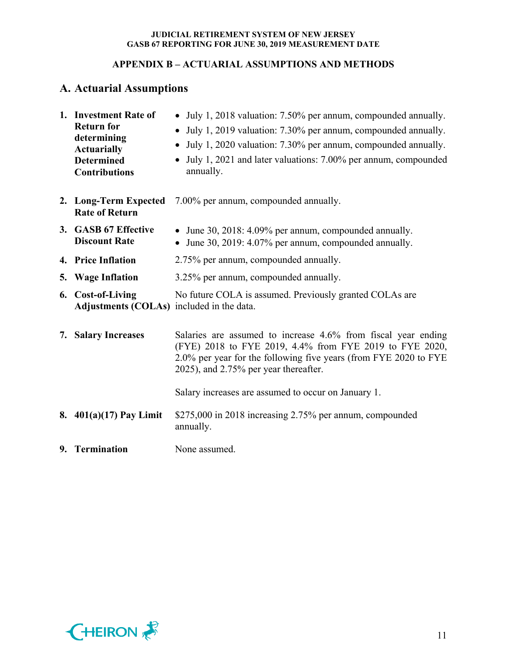# **APPENDIX B – ACTUARIAL ASSUMPTIONS AND METHODS**

# **A. Actuarial Assumptions**

| 1. Investment Rate of<br><b>Return for</b><br>determining<br><b>Actuarially</b><br><b>Determined</b><br><b>Contributions</b> | • July 1, 2018 valuation: 7.50% per annum, compounded annually.<br>July 1, 2019 valuation: 7.30% per annum, compounded annually.<br>July 1, 2020 valuation: 7.30% per annum, compounded annually.<br>$\bullet$<br>July 1, 2021 and later valuations: 7.00% per annum, compounded<br>annually. |
|------------------------------------------------------------------------------------------------------------------------------|-----------------------------------------------------------------------------------------------------------------------------------------------------------------------------------------------------------------------------------------------------------------------------------------------|
| 2. Long-Term Expected<br><b>Rate of Return</b>                                                                               | 7.00% per annum, compounded annually.                                                                                                                                                                                                                                                         |
| 3. GASB 67 Effective<br><b>Discount Rate</b>                                                                                 | • June 30, 2018: 4.09% per annum, compounded annually.<br>• June 30, 2019: 4.07% per annum, compounded annually.                                                                                                                                                                              |
| 4. Price Inflation                                                                                                           | 2.75% per annum, compounded annually.                                                                                                                                                                                                                                                         |
| 5. Wage Inflation                                                                                                            | 3.25% per annum, compounded annually.                                                                                                                                                                                                                                                         |
| 6. Cost-of-Living<br>Adjustments (COLAs) included in the data.                                                               | No future COLA is assumed. Previously granted COLAs are                                                                                                                                                                                                                                       |
| 7. Salary Increases                                                                                                          | Salaries are assumed to increase 4.6% from fiscal year ending<br>(FYE) 2018 to FYE 2019, 4.4% from FYE 2019 to FYE 2020,<br>2.0% per year for the following five years (from FYE 2020 to FYE<br>2025), and 2.75% per year thereafter.                                                         |
|                                                                                                                              | Salary increases are assumed to occur on January 1.                                                                                                                                                                                                                                           |
| 8. $401(a)(17)$ Pay Limit                                                                                                    | \$275,000 in 2018 increasing 2.75% per annum, compounded<br>annually.                                                                                                                                                                                                                         |
| 9. Termination                                                                                                               | None assumed.                                                                                                                                                                                                                                                                                 |

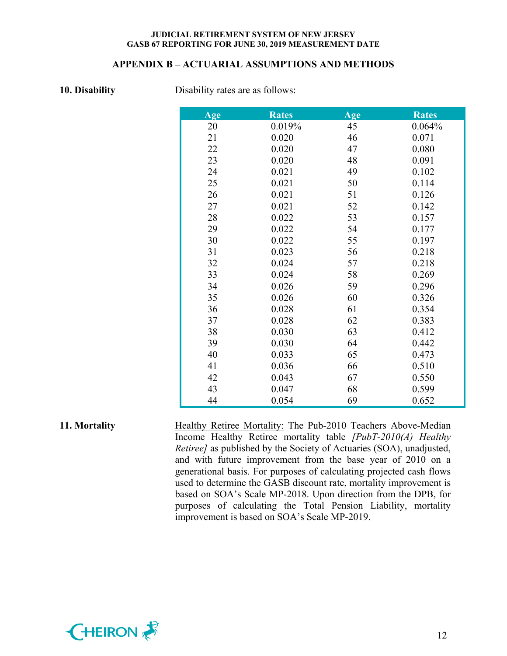#### **APPENDIX B – ACTUARIAL ASSUMPTIONS AND METHODS**

**10. Disability** Disability rates are as follows:

| Age | <b>Rates</b> | Age | <b>Rates</b> |
|-----|--------------|-----|--------------|
| 20  | 0.019%       | 45  | 0.064%       |
| 21  | 0.020        | 46  | 0.071        |
| 22  | 0.020        | 47  | 0.080        |
| 23  | 0.020        | 48  | 0.091        |
| 24  | 0.021        | 49  | 0.102        |
| 25  | 0.021        | 50  | 0.114        |
| 26  | 0.021        | 51  | 0.126        |
| 27  | 0.021        | 52  | 0.142        |
| 28  | 0.022        | 53  | 0.157        |
| 29  | 0.022        | 54  | 0.177        |
| 30  | 0.022        | 55  | 0.197        |
| 31  | 0.023        | 56  | 0.218        |
| 32  | 0.024        | 57  | 0.218        |
| 33  | 0.024        | 58  | 0.269        |
| 34  | 0.026        | 59  | 0.296        |
| 35  | 0.026        | 60  | 0.326        |
| 36  | 0.028        | 61  | 0.354        |
| 37  | 0.028        | 62  | 0.383        |
| 38  | 0.030        | 63  | 0.412        |
| 39  | 0.030        | 64  | 0.442        |
| 40  | 0.033        | 65  | 0.473        |
| 41  | 0.036        | 66  | 0.510        |
| 42  | 0.043        | 67  | 0.550        |
| 43  | 0.047        | 68  | 0.599        |
| 44  | 0.054        | 69  | 0.652        |

## **11. Mortality** Healthy Retiree Mortality: The Pub-2010 Teachers Above-Median Income Healthy Retiree mortality table *[PubT-2010(A) Healthy Retiree]* as published by the Society of Actuaries (SOA), unadjusted, and with future improvement from the base year of 2010 on a generational basis. For purposes of calculating projected cash flows used to determine the GASB discount rate, mortality improvement is based on SOA's Scale MP-2018. Upon direction from the DPB, for purposes of calculating the Total Pension Liability, mortality



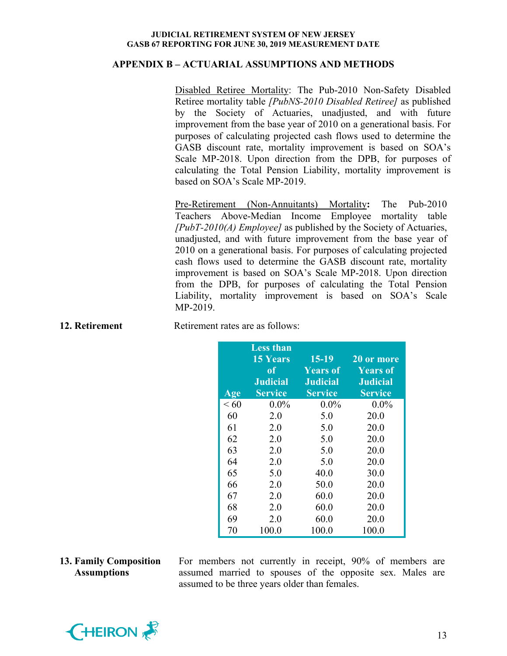#### **APPENDIX B – ACTUARIAL ASSUMPTIONS AND METHODS**

Disabled Retiree Mortality: The Pub-2010 Non-Safety Disabled Retiree mortality table *[PubNS-2010 Disabled Retiree]* as published by the Society of Actuaries, unadjusted, and with future improvement from the base year of 2010 on a generational basis. For purposes of calculating projected cash flows used to determine the GASB discount rate, mortality improvement is based on SOA's Scale MP-2018. Upon direction from the DPB, for purposes of calculating the Total Pension Liability, mortality improvement is based on SOA's Scale MP-2019.

Pre-Retirement (Non-Annuitants) Mortality**:** The Pub-2010 Teachers Above-Median Income Employee mortality table *[PubT-2010(A) Employee]* as published by the Society of Actuaries, unadjusted, and with future improvement from the base year of 2010 on a generational basis. For purposes of calculating projected cash flows used to determine the GASB discount rate, mortality improvement is based on SOA's Scale MP-2018. Upon direction from the DPB, for purposes of calculating the Total Pension Liability, mortality improvement is based on SOA's Scale MP-2019.

| Age  | <b>Less than</b><br><b>15 Years</b><br>of<br><b>Judicial</b><br><b>Service</b> | $15-19$<br><b>Years of</b><br><b>Judicial</b><br><b>Service</b> | 20 or more<br><b>Years of</b><br><b>Judicial</b><br><b>Service</b> |
|------|--------------------------------------------------------------------------------|-----------------------------------------------------------------|--------------------------------------------------------------------|
| < 60 | $0.0\%$                                                                        | $0.0\%$                                                         | $0.0\%$                                                            |
| 60   | 2.0                                                                            | 5.0                                                             | 20.0                                                               |
| 61   | 2.0                                                                            | 5.0                                                             | 20.0                                                               |
| 62   | 2.0                                                                            | 5.0                                                             | 20.0                                                               |
| 63   | 2.0                                                                            | 5.0                                                             | 20.0                                                               |
| 64   | 2.0                                                                            | 5.0                                                             | 20.0                                                               |
| 65   | 5.0                                                                            | 40.0                                                            | 30.0                                                               |
| 66   | 2.0                                                                            | 50.0                                                            | 20.0                                                               |
| 67   | 2.0                                                                            | 60.0                                                            | 20.0                                                               |
| 68   | 2.0                                                                            | 60.0                                                            | 20.0                                                               |
| 69   | 2.0                                                                            | 60.0                                                            | 20.0                                                               |
| 70   | 100.0                                                                          | 100.0                                                           | 100.0                                                              |

**12. Retirement** Retirement rates are as follows:

#### **13. Family Composition Assumptions**

For members not currently in receipt, 90% of members are assumed married to spouses of the opposite sex. Males are assumed to be three years older than females.

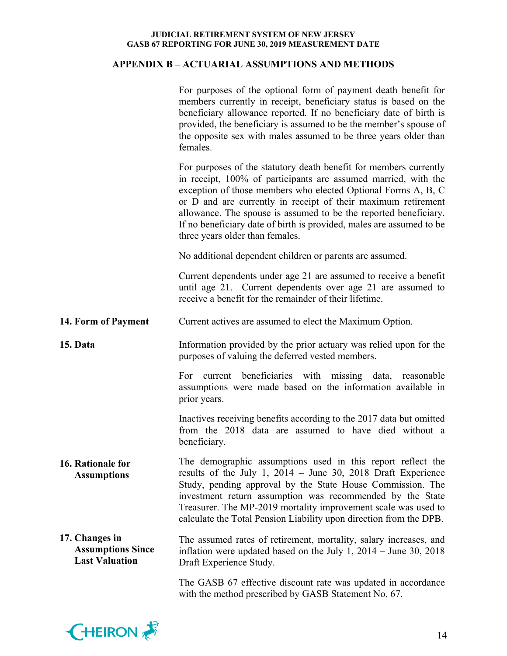## **APPENDIX B – ACTUARIAL ASSUMPTIONS AND METHODS**

|                                                                     | For purposes of the optional form of payment death benefit for<br>members currently in receipt, beneficiary status is based on the<br>beneficiary allowance reported. If no beneficiary date of birth is<br>provided, the beneficiary is assumed to be the member's spouse of<br>the opposite sex with males assumed to be three years older than<br>females.                                                                                        |  |  |  |  |
|---------------------------------------------------------------------|------------------------------------------------------------------------------------------------------------------------------------------------------------------------------------------------------------------------------------------------------------------------------------------------------------------------------------------------------------------------------------------------------------------------------------------------------|--|--|--|--|
|                                                                     | For purposes of the statutory death benefit for members currently<br>in receipt, 100% of participants are assumed married, with the<br>exception of those members who elected Optional Forms A, B, C<br>or D and are currently in receipt of their maximum retirement<br>allowance. The spouse is assumed to be the reported beneficiary.<br>If no beneficiary date of birth is provided, males are assumed to be<br>three years older than females. |  |  |  |  |
|                                                                     | No additional dependent children or parents are assumed.                                                                                                                                                                                                                                                                                                                                                                                             |  |  |  |  |
|                                                                     | Current dependents under age 21 are assumed to receive a benefit<br>until age 21. Current dependents over age 21 are assumed to<br>receive a benefit for the remainder of their lifetime.                                                                                                                                                                                                                                                            |  |  |  |  |
| 14. Form of Payment                                                 | Current actives are assumed to elect the Maximum Option.                                                                                                                                                                                                                                                                                                                                                                                             |  |  |  |  |
| 15. Data                                                            | Information provided by the prior actuary was relied upon for the<br>purposes of valuing the deferred vested members.                                                                                                                                                                                                                                                                                                                                |  |  |  |  |
|                                                                     | For current beneficiaries with missing data, reasonable<br>assumptions were made based on the information available in<br>prior years.                                                                                                                                                                                                                                                                                                               |  |  |  |  |
|                                                                     | Inactives receiving benefits according to the 2017 data but omitted<br>from the 2018 data are assumed to have died without a<br>beneficiary.                                                                                                                                                                                                                                                                                                         |  |  |  |  |
| 16. Rationale for<br><b>Assumptions</b>                             | The demographic assumptions used in this report reflect the<br>results of the July 1, $2014 -$ June 30, 2018 Draft Experience<br>Study, pending approval by the State House Commission. The<br>investment return assumption was recommended by the State<br>Treasurer. The MP-2019 mortality improvement scale was used to<br>calculate the Total Pension Liability upon direction from the DPB.                                                     |  |  |  |  |
| 17. Changes in<br><b>Assumptions Since</b><br><b>Last Valuation</b> | The assumed rates of retirement, mortality, salary increases, and<br>inflation were updated based on the July 1, $2014 -$ June 30, $2018$<br>Draft Experience Study.                                                                                                                                                                                                                                                                                 |  |  |  |  |
|                                                                     | The GASB 67 effective discount rate was updated in accordance<br>with the method prescribed by GASB Statement No. 67.                                                                                                                                                                                                                                                                                                                                |  |  |  |  |

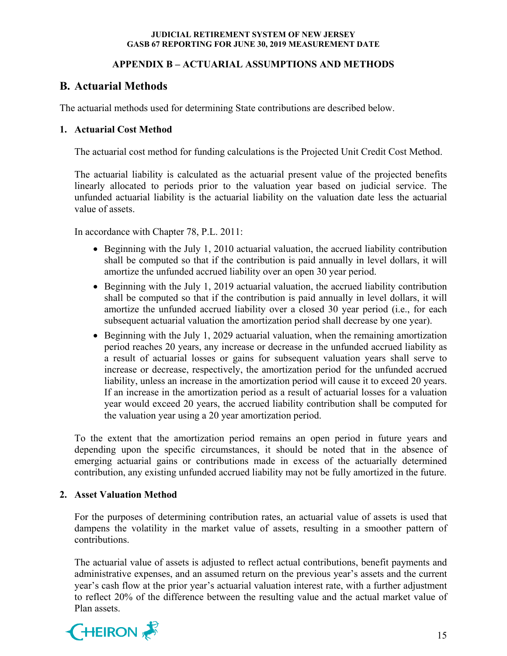## **APPENDIX B – ACTUARIAL ASSUMPTIONS AND METHODS**

# **B. Actuarial Methods**

The actuarial methods used for determining State contributions are described below.

## **1. Actuarial Cost Method**

The actuarial cost method for funding calculations is the Projected Unit Credit Cost Method.

The actuarial liability is calculated as the actuarial present value of the projected benefits linearly allocated to periods prior to the valuation year based on judicial service. The unfunded actuarial liability is the actuarial liability on the valuation date less the actuarial value of assets.

In accordance with Chapter 78, P.L. 2011:

- Beginning with the July 1, 2010 actuarial valuation, the accrued liability contribution shall be computed so that if the contribution is paid annually in level dollars, it will amortize the unfunded accrued liability over an open 30 year period.
- Beginning with the July 1, 2019 actuarial valuation, the accrued liability contribution shall be computed so that if the contribution is paid annually in level dollars, it will amortize the unfunded accrued liability over a closed 30 year period (i.e., for each subsequent actuarial valuation the amortization period shall decrease by one year).
- Beginning with the July 1, 2029 actuarial valuation, when the remaining amortization period reaches 20 years, any increase or decrease in the unfunded accrued liability as a result of actuarial losses or gains for subsequent valuation years shall serve to increase or decrease, respectively, the amortization period for the unfunded accrued liability, unless an increase in the amortization period will cause it to exceed 20 years. If an increase in the amortization period as a result of actuarial losses for a valuation year would exceed 20 years, the accrued liability contribution shall be computed for the valuation year using a 20 year amortization period.

To the extent that the amortization period remains an open period in future years and depending upon the specific circumstances, it should be noted that in the absence of emerging actuarial gains or contributions made in excess of the actuarially determined contribution, any existing unfunded accrued liability may not be fully amortized in the future.

## **2. Asset Valuation Method**

For the purposes of determining contribution rates, an actuarial value of assets is used that dampens the volatility in the market value of assets, resulting in a smoother pattern of contributions.

The actuarial value of assets is adjusted to reflect actual contributions, benefit payments and administrative expenses, and an assumed return on the previous year's assets and the current year's cash flow at the prior year's actuarial valuation interest rate, with a further adjustment to reflect 20% of the difference between the resulting value and the actual market value of Plan assets.

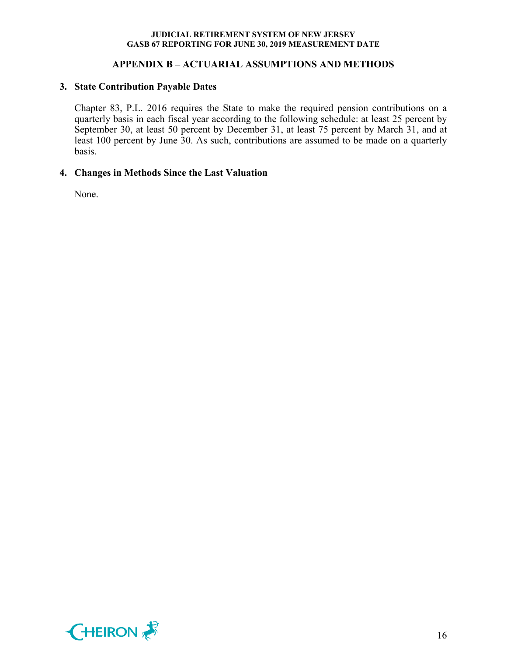## **APPENDIX B – ACTUARIAL ASSUMPTIONS AND METHODS**

#### **3. State Contribution Payable Dates**

Chapter 83, P.L. 2016 requires the State to make the required pension contributions on a quarterly basis in each fiscal year according to the following schedule: at least 25 percent by September 30, at least 50 percent by December 31, at least 75 percent by March 31, and at least 100 percent by June 30. As such, contributions are assumed to be made on a quarterly basis.

### **4. Changes in Methods Since the Last Valuation**

None.

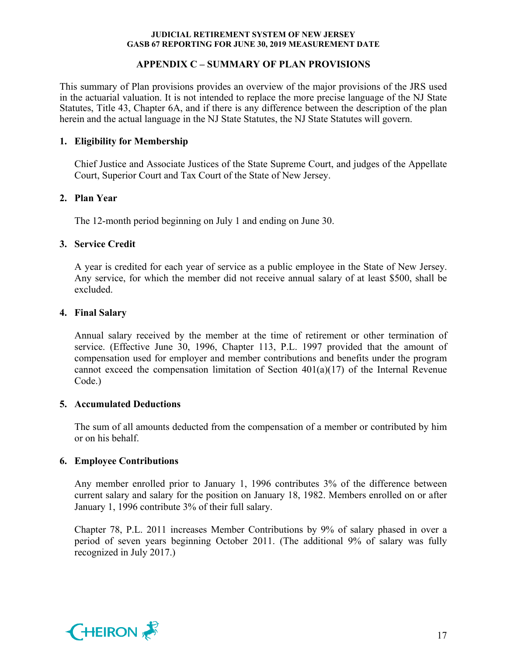## **APPENDIX C – SUMMARY OF PLAN PROVISIONS**

This summary of Plan provisions provides an overview of the major provisions of the JRS used in the actuarial valuation. It is not intended to replace the more precise language of the NJ State Statutes, Title 43, Chapter 6A, and if there is any difference between the description of the plan herein and the actual language in the NJ State Statutes, the NJ State Statutes will govern.

## **1. Eligibility for Membership**

Chief Justice and Associate Justices of the State Supreme Court, and judges of the Appellate Court, Superior Court and Tax Court of the State of New Jersey.

## **2. Plan Year**

The 12-month period beginning on July 1 and ending on June 30.

## **3. Service Credit**

A year is credited for each year of service as a public employee in the State of New Jersey. Any service, for which the member did not receive annual salary of at least \$500, shall be excluded.

## **4. Final Salary**

Annual salary received by the member at the time of retirement or other termination of service. (Effective June 30, 1996, Chapter 113, P.L. 1997 provided that the amount of compensation used for employer and member contributions and benefits under the program cannot exceed the compensation limitation of Section  $401(a)(17)$  of the Internal Revenue Code.)

### **5. Accumulated Deductions**

The sum of all amounts deducted from the compensation of a member or contributed by him or on his behalf.

### **6. Employee Contributions**

Any member enrolled prior to January 1, 1996 contributes 3% of the difference between current salary and salary for the position on January 18, 1982. Members enrolled on or after January 1, 1996 contribute 3% of their full salary.

Chapter 78, P.L. 2011 increases Member Contributions by 9% of salary phased in over a period of seven years beginning October 2011. (The additional 9% of salary was fully recognized in July 2017.)

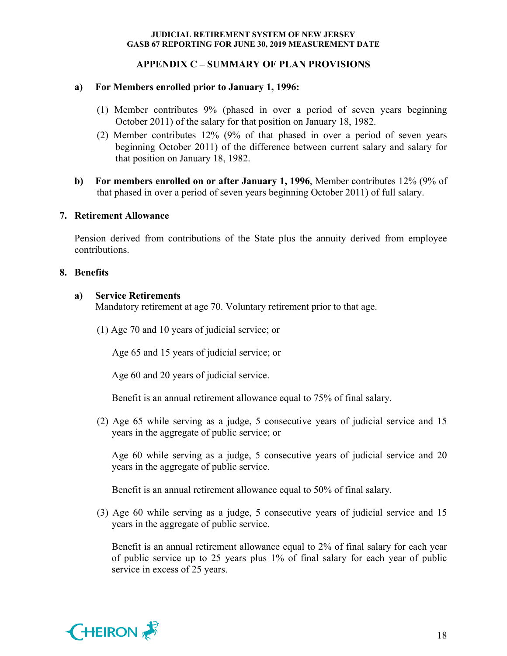## **APPENDIX C – SUMMARY OF PLAN PROVISIONS**

#### **a) For Members enrolled prior to January 1, 1996:**

- (1) Member contributes 9% (phased in over a period of seven years beginning October 2011) of the salary for that position on January 18, 1982.
- (2) Member contributes 12% (9% of that phased in over a period of seven years beginning October 2011) of the difference between current salary and salary for that position on January 18, 1982.
- **b) For members enrolled on or after January 1, 1996**, Member contributes 12% (9% of that phased in over a period of seven years beginning October 2011) of full salary.

#### **7. Retirement Allowance**

Pension derived from contributions of the State plus the annuity derived from employee contributions.

#### **8. Benefits**

#### **a) Service Retirements**

Mandatory retirement at age 70. Voluntary retirement prior to that age.

(1) Age 70 and 10 years of judicial service; or

Age 65 and 15 years of judicial service; or

Age 60 and 20 years of judicial service.

Benefit is an annual retirement allowance equal to 75% of final salary.

(2) Age 65 while serving as a judge, 5 consecutive years of judicial service and 15 years in the aggregate of public service; or

Age 60 while serving as a judge, 5 consecutive years of judicial service and 20 years in the aggregate of public service.

Benefit is an annual retirement allowance equal to 50% of final salary.

(3) Age 60 while serving as a judge, 5 consecutive years of judicial service and 15 years in the aggregate of public service.

Benefit is an annual retirement allowance equal to 2% of final salary for each year of public service up to 25 years plus 1% of final salary for each year of public service in excess of 25 years.

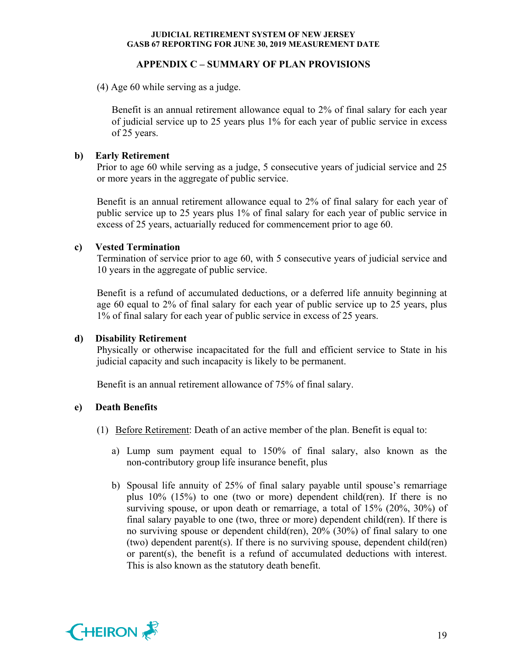## **APPENDIX C – SUMMARY OF PLAN PROVISIONS**

(4) Age 60 while serving as a judge.

Benefit is an annual retirement allowance equal to 2% of final salary for each year of judicial service up to 25 years plus 1% for each year of public service in excess of 25 years.

## **b) Early Retirement**

Prior to age 60 while serving as a judge, 5 consecutive years of judicial service and 25 or more years in the aggregate of public service.

Benefit is an annual retirement allowance equal to 2% of final salary for each year of public service up to 25 years plus 1% of final salary for each year of public service in excess of 25 years, actuarially reduced for commencement prior to age 60.

## **c) Vested Termination**

Termination of service prior to age 60, with 5 consecutive years of judicial service and 10 years in the aggregate of public service.

Benefit is a refund of accumulated deductions, or a deferred life annuity beginning at age 60 equal to 2% of final salary for each year of public service up to 25 years, plus 1% of final salary for each year of public service in excess of 25 years.

## **d) Disability Retirement**

Physically or otherwise incapacitated for the full and efficient service to State in his judicial capacity and such incapacity is likely to be permanent.

Benefit is an annual retirement allowance of 75% of final salary.

### **e) Death Benefits**

- (1) Before Retirement: Death of an active member of the plan. Benefit is equal to:
	- a) Lump sum payment equal to 150% of final salary, also known as the non-contributory group life insurance benefit, plus
	- b) Spousal life annuity of 25% of final salary payable until spouse's remarriage plus 10% (15%) to one (two or more) dependent child(ren). If there is no surviving spouse, or upon death or remarriage, a total of 15% (20%, 30%) of final salary payable to one (two, three or more) dependent child(ren). If there is no surviving spouse or dependent child(ren), 20% (30%) of final salary to one (two) dependent parent(s). If there is no surviving spouse, dependent child(ren) or parent(s), the benefit is a refund of accumulated deductions with interest. This is also known as the statutory death benefit.

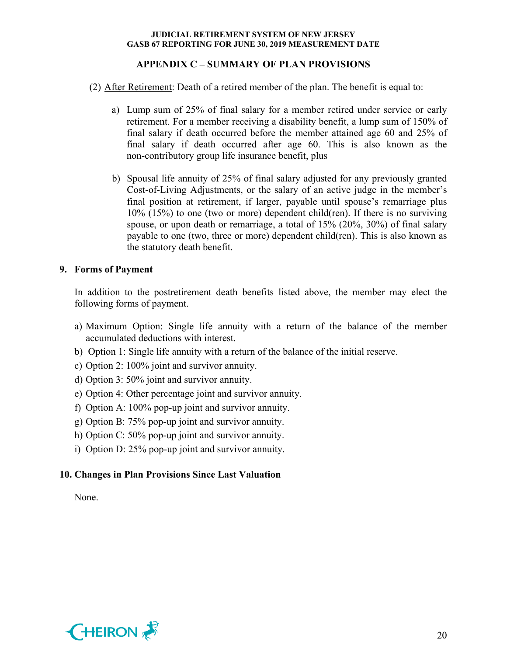## **APPENDIX C – SUMMARY OF PLAN PROVISIONS**

(2) After Retirement: Death of a retired member of the plan. The benefit is equal to:

- a) Lump sum of 25% of final salary for a member retired under service or early retirement. For a member receiving a disability benefit, a lump sum of 150% of final salary if death occurred before the member attained age 60 and 25% of final salary if death occurred after age 60. This is also known as the non-contributory group life insurance benefit, plus
- b) Spousal life annuity of 25% of final salary adjusted for any previously granted Cost-of-Living Adjustments, or the salary of an active judge in the member's final position at retirement, if larger, payable until spouse's remarriage plus 10% (15%) to one (two or more) dependent child(ren). If there is no surviving spouse, or upon death or remarriage, a total of 15% (20%, 30%) of final salary payable to one (two, three or more) dependent child(ren). This is also known as the statutory death benefit.

## **9. Forms of Payment**

In addition to the postretirement death benefits listed above, the member may elect the following forms of payment.

- a) Maximum Option: Single life annuity with a return of the balance of the member accumulated deductions with interest.
- b) Option 1: Single life annuity with a return of the balance of the initial reserve.
- c) Option 2: 100% joint and survivor annuity.
- d) Option 3: 50% joint and survivor annuity.
- e) Option 4: Other percentage joint and survivor annuity.
- f) Option A: 100% pop-up joint and survivor annuity.
- g) Option B: 75% pop-up joint and survivor annuity.
- h) Option C: 50% pop-up joint and survivor annuity.
- i) Option D: 25% pop-up joint and survivor annuity.

## **10. Changes in Plan Provisions Since Last Valuation**

None.

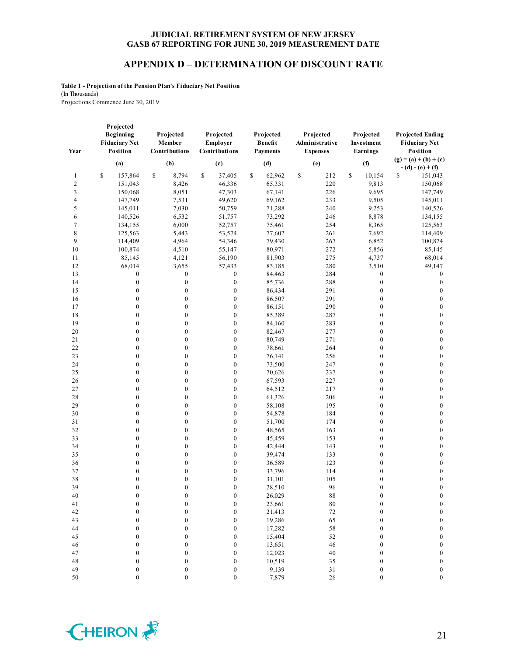#### **APPENDIX D – DETERMINATION OF DISCOUNT RATE**

**Table 1 - Projection of the Pension Plan's Fiduciary Net Position** (In Thousands) Projections Commence June 30, 2019

| Year   | Projected<br>Beginning<br><b>Fiduciary Net</b><br>Position | Projected<br>Member<br>Contributions | Projected<br>Employer<br>Contributions | Projected<br>Benefit<br><b>Payments</b> | Projected<br>Administrative<br><b>Expenses</b> | Projected<br>Investment<br>Earnings | <b>Projected Ending</b><br><b>Fiduciary Net</b><br>Position |
|--------|------------------------------------------------------------|--------------------------------------|----------------------------------------|-----------------------------------------|------------------------------------------------|-------------------------------------|-------------------------------------------------------------|
|        | (a)                                                        | (b)                                  | (c)                                    | (d)                                     | (e)                                            | (f)                                 | $(g) = (a) + (b) + (c)$<br>$- (d) - (e) + (f)$              |
| 1      | \$<br>157,864                                              | $\mathbb{S}$<br>8,794                | $\mathbb{S}$<br>37,405                 | \$<br>62,962                            | \$<br>212                                      | \$<br>10,154                        | \$<br>151,043                                               |
| 2      | 151,043                                                    | 8,426                                | 46,336                                 | 65,331                                  | 220                                            | 9,813                               | 150,068                                                     |
| 3      | 150,068                                                    | 8,051                                | 47,303                                 | 67,141                                  | 226                                            | 9,695                               | 147,749                                                     |
| 4      | 147,749                                                    | 7,531                                | 49,620                                 | 69,162                                  | 233                                            | 9,505                               | 145,011                                                     |
| 5      | 145,011                                                    | 7,030                                | 50,759                                 | 71,288                                  | 240                                            | 9,253                               | 140,526                                                     |
| 6      | 140,526                                                    | 6,532                                | 51,757                                 | 73,292                                  | 246                                            | 8,878                               | 134,155                                                     |
| $\tau$ | 134,155                                                    | 6,000                                | 52,757                                 | 75,461                                  | 254                                            | 8,365                               | 125,563                                                     |
| 8      | 125,563                                                    | 5,443                                | 53,574                                 | 77,602                                  | 261                                            | 7,692                               | 114,409                                                     |
| 9      | 114,409                                                    | 4,964                                | 54,346                                 | 79,430                                  | 267                                            | 6,852                               | 100,874                                                     |
| 10     | 100,874                                                    | 4,510                                | 55,147                                 | 80,971                                  | 272                                            | 5,856                               | 85,145                                                      |
| 11     | 85,145                                                     | 4,121                                | 56,190                                 | 81,903                                  | 275                                            | 4,737                               | 68,014                                                      |
| 12     | 68,014                                                     | 3,655                                | 57,433                                 | 83,185                                  | 280                                            | 3,510                               | 49,147                                                      |
| 13     | $\boldsymbol{0}$                                           | $\boldsymbol{0}$                     | $\boldsymbol{0}$                       | 84,463                                  | 284                                            | $\boldsymbol{0}$                    | $\boldsymbol{0}$                                            |
| 14     | $\boldsymbol{0}$                                           | $\boldsymbol{0}$                     | $\boldsymbol{0}$                       | 85,736                                  | 288                                            | $\boldsymbol{0}$                    | $\boldsymbol{0}$                                            |
| 15     | $\boldsymbol{0}$                                           | $\boldsymbol{0}$                     | $\boldsymbol{0}$                       | 86,434                                  | 291                                            | $\boldsymbol{0}$                    | $\boldsymbol{0}$                                            |
| 16     | $\boldsymbol{0}$                                           | $\boldsymbol{0}$                     | $\boldsymbol{0}$                       | 86,507                                  | 291                                            | $\boldsymbol{0}$                    | $\boldsymbol{0}$                                            |
| 17     | $\boldsymbol{0}$                                           | $\boldsymbol{0}$                     | $\boldsymbol{0}$                       | 86,151                                  | 290                                            | $\boldsymbol{0}$                    | $\boldsymbol{0}$                                            |
| 18     | $\boldsymbol{0}$                                           | $\boldsymbol{0}$                     | $\boldsymbol{0}$                       | 85,389                                  | 287                                            | $\boldsymbol{0}$                    | $\boldsymbol{0}$                                            |
| 19     | $\boldsymbol{0}$                                           | $\boldsymbol{0}$                     | $\boldsymbol{0}$                       | 84,160                                  | 283                                            | $\boldsymbol{0}$                    | $\boldsymbol{0}$                                            |
| 20     | $\boldsymbol{0}$                                           | $\boldsymbol{0}$                     | $\boldsymbol{0}$                       | 82,467                                  | 277                                            | $\boldsymbol{0}$                    | $\boldsymbol{0}$                                            |
| 21     | $\boldsymbol{0}$                                           | $\boldsymbol{0}$                     | $\boldsymbol{0}$                       | 80,749                                  | 271                                            | $\boldsymbol{0}$                    | $\boldsymbol{0}$                                            |
| 22     | $\boldsymbol{0}$                                           | $\boldsymbol{0}$                     | $\boldsymbol{0}$                       | 78,661                                  | 264                                            | $\boldsymbol{0}$                    | $\boldsymbol{0}$                                            |
| 23     | $\boldsymbol{0}$                                           | $\boldsymbol{0}$                     | $\boldsymbol{0}$                       | 76,141                                  | 256                                            | $\boldsymbol{0}$                    | $\boldsymbol{0}$                                            |
| 24     | $\boldsymbol{0}$                                           | $\boldsymbol{0}$                     | $\boldsymbol{0}$                       | 73,500                                  | 247                                            | $\boldsymbol{0}$                    | $\boldsymbol{0}$                                            |
| 25     | $\boldsymbol{0}$                                           | $\boldsymbol{0}$                     | $\boldsymbol{0}$                       | 70,626                                  | 237                                            | $\boldsymbol{0}$                    | $\boldsymbol{0}$                                            |
| 26     | $\mathbf{0}$                                               | $\boldsymbol{0}$                     | $\boldsymbol{0}$                       | 67,593                                  | 227                                            | $\boldsymbol{0}$                    | $\boldsymbol{0}$                                            |
| 27     | $\boldsymbol{0}$                                           | $\boldsymbol{0}$                     | $\boldsymbol{0}$                       | 64,512                                  | 217                                            | $\boldsymbol{0}$                    | $\boldsymbol{0}$                                            |
| 28     | $\boldsymbol{0}$                                           | $\boldsymbol{0}$                     | $\boldsymbol{0}$                       | 61,326                                  | 206                                            | $\boldsymbol{0}$                    | $\boldsymbol{0}$                                            |
| 29     | $\boldsymbol{0}$                                           | $\boldsymbol{0}$                     | $\boldsymbol{0}$                       | 58,108                                  | 195                                            | $\boldsymbol{0}$                    | $\boldsymbol{0}$                                            |
| 30     | $\boldsymbol{0}$                                           | $\boldsymbol{0}$                     | $\boldsymbol{0}$                       | 54,878                                  | 184                                            | $\boldsymbol{0}$                    | $\boldsymbol{0}$                                            |
| 31     | $\boldsymbol{0}$                                           | $\boldsymbol{0}$                     | $\boldsymbol{0}$                       | 51,700                                  | 174                                            | $\boldsymbol{0}$                    | $\boldsymbol{0}$                                            |
| 32     | $\boldsymbol{0}$                                           | $\boldsymbol{0}$                     | $\boldsymbol{0}$                       | 48,565                                  | 163                                            | $\boldsymbol{0}$                    | $\boldsymbol{0}$                                            |
| 33     | $\boldsymbol{0}$                                           | $\boldsymbol{0}$                     | $\boldsymbol{0}$                       | 45,459                                  | 153                                            | $\boldsymbol{0}$                    | $\boldsymbol{0}$                                            |
| 34     | $\boldsymbol{0}$                                           | $\boldsymbol{0}$                     | $\boldsymbol{0}$                       | 42,444                                  | 143                                            | $\boldsymbol{0}$                    | $\boldsymbol{0}$                                            |
| 35     | $\boldsymbol{0}$                                           | $\boldsymbol{0}$                     | $\boldsymbol{0}$                       | 39,474                                  | 133                                            | $\boldsymbol{0}$                    | $\boldsymbol{0}$                                            |
| 36     | $\boldsymbol{0}$                                           | $\boldsymbol{0}$                     | $\boldsymbol{0}$                       | 36,589                                  | 123                                            | $\boldsymbol{0}$                    | $\boldsymbol{0}$                                            |
| 37     | $\boldsymbol{0}$                                           | $\boldsymbol{0}$                     | $\boldsymbol{0}$                       | 33,796                                  | 114                                            | $\boldsymbol{0}$                    | $\boldsymbol{0}$                                            |
| 38     | $\boldsymbol{0}$                                           | $\boldsymbol{0}$                     | $\boldsymbol{0}$                       | 31,101                                  | 105                                            | $\boldsymbol{0}$                    | $\boldsymbol{0}$                                            |
| 39     | $\mathbf{0}$                                               | $\mathbf{0}$                         | $\boldsymbol{0}$                       | 28,510                                  | 96                                             | $\boldsymbol{0}$                    | $\boldsymbol{0}$                                            |
| 40     | $\boldsymbol{0}$                                           | $\bf{0}$                             | $\boldsymbol{0}$                       | 26,029                                  | 88                                             | $\boldsymbol{0}$                    | $\bf{0}$                                                    |
| 41     | $\boldsymbol{0}$                                           | $\boldsymbol{0}$                     | $\boldsymbol{0}$                       | 23,661                                  | 80                                             | $\boldsymbol{0}$                    | $\boldsymbol{0}$                                            |
| 42     | $\boldsymbol{0}$                                           | $\boldsymbol{0}$                     | $\boldsymbol{0}$                       | 21,413                                  | 72                                             | $\boldsymbol{0}$                    | $\boldsymbol{0}$                                            |
| 43     | $\mathbf{0}$                                               | $\mathbf{0}$                         | $\boldsymbol{0}$                       | 19,286                                  | 65                                             | $\boldsymbol{0}$                    | $\boldsymbol{0}$                                            |
| 44     | $\boldsymbol{0}$                                           | $\boldsymbol{0}$                     | $\boldsymbol{0}$                       | 17,282                                  | 58                                             | $\boldsymbol{0}$                    | $\boldsymbol{0}$                                            |
| 45     | $\boldsymbol{0}$                                           | $\boldsymbol{0}$                     | $\boldsymbol{0}$                       | 15,404                                  | 52                                             | $\boldsymbol{0}$                    | $\boldsymbol{0}$                                            |
| 46     | $\mathbf{0}$                                               | $\mathbf{0}$                         | $\mathbf{0}$                           | 13,651                                  | 46                                             | $\boldsymbol{0}$                    | $\boldsymbol{0}$                                            |
| 47     | $\boldsymbol{0}$                                           | $\boldsymbol{0}$                     | $\boldsymbol{0}$                       | 12,023                                  | 40                                             | $\boldsymbol{0}$                    | $\boldsymbol{0}$                                            |
| 48     | $\boldsymbol{0}$                                           | $\boldsymbol{0}$                     | $\boldsymbol{0}$                       | 10,519                                  | 35                                             | $\boldsymbol{0}$                    | $\boldsymbol{0}$                                            |
| 49     | $\mathbf{0}$                                               | $\overline{0}$                       | $\boldsymbol{0}$                       | 9,139                                   | 31                                             | $\boldsymbol{0}$                    | $\mathbf{0}$                                                |

50 0 0 0 7,879 26 0 0

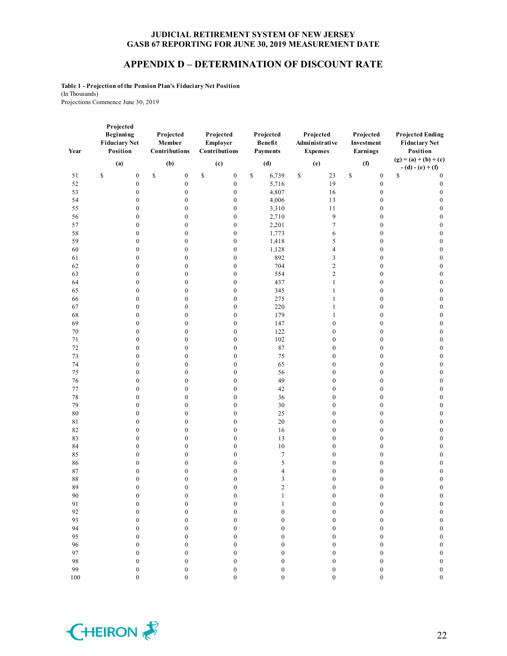#### **APPENDIX D – DETERMINATION OF DISCOUNT RATE**

**Table 1 - Projection of the Pension Plan's Fiduciary Net Position** (In Thousands) Projections Commence June 30, 2019

| Year     | Projected<br><b>Beginning</b><br><b>Fiduciary Net</b><br>Position | Projected<br>Member<br>Contributions | Projected<br>Employer<br>Contributions | Projected<br>Benefit<br><b>Payments</b> | Projected<br>Administrative<br><b>Expenses</b> | Projected<br>Investment<br>Earnings                                                       | <b>Projected Ending</b><br><b>Fiduciary Net</b><br>Position |
|----------|-------------------------------------------------------------------|--------------------------------------|----------------------------------------|-----------------------------------------|------------------------------------------------|-------------------------------------------------------------------------------------------|-------------------------------------------------------------|
|          | (a)                                                               | (b)                                  | (c)                                    | (d)                                     | (e)                                            | (f)                                                                                       | $(g) = (a) + (b) + (c)$                                     |
| 51       | \$<br>$\boldsymbol{0}$                                            | \$<br>$\boldsymbol{0}$               | \$<br>$\boldsymbol{0}$                 | \$<br>6,739                             | \$<br>23                                       | $\mathbb{S}% _{t}\left( t\right) \equiv\mathbb{S}_{t}\left( t\right)$<br>$\boldsymbol{0}$ | $-(d)-(e)+(f)$<br>\$<br>$\boldsymbol{0}$                    |
| 52       | $\boldsymbol{0}$                                                  | $\boldsymbol{0}$                     | $\boldsymbol{0}$                       | 5,716                                   | 19                                             | $\boldsymbol{0}$                                                                          | $\boldsymbol{0}$                                            |
| 53       | $\boldsymbol{0}$                                                  | $\boldsymbol{0}$                     | $\boldsymbol{0}$                       | 4,807                                   | 16                                             | $\boldsymbol{0}$                                                                          | $\boldsymbol{0}$                                            |
| 54       | $\boldsymbol{0}$                                                  | $\boldsymbol{0}$                     | $\boldsymbol{0}$                       | 4,006                                   | 13                                             | $\boldsymbol{0}$                                                                          | $\mathbf{0}$                                                |
| 55       | $\boldsymbol{0}$                                                  | $\boldsymbol{0}$                     | $\boldsymbol{0}$                       | 3,310                                   | 11                                             | $\boldsymbol{0}$                                                                          | $\mathbf{0}$                                                |
| 56       | $\boldsymbol{0}$                                                  | $\boldsymbol{0}$                     | $\boldsymbol{0}$                       | 2,710                                   | 9                                              | $\boldsymbol{0}$                                                                          | $\boldsymbol{0}$                                            |
| 57       | $\boldsymbol{0}$                                                  | $\boldsymbol{0}$                     | $\boldsymbol{0}$                       | 2,201                                   | $\tau$                                         | $\boldsymbol{0}$                                                                          | $\boldsymbol{0}$                                            |
| 58       | $\boldsymbol{0}$                                                  | $\boldsymbol{0}$                     | $\boldsymbol{0}$                       | 1,773                                   | 6                                              | $\boldsymbol{0}$                                                                          | $\boldsymbol{0}$                                            |
| 59       | $\boldsymbol{0}$                                                  | $\boldsymbol{0}$                     | $\boldsymbol{0}$                       | 1,418                                   | 5                                              | $\boldsymbol{0}$                                                                          | $\boldsymbol{0}$                                            |
| 60       | $\boldsymbol{0}$                                                  | $\boldsymbol{0}$                     | $\boldsymbol{0}$                       | 1,128                                   | 4                                              | $\boldsymbol{0}$                                                                          | $\boldsymbol{0}$                                            |
| 61       | $\boldsymbol{0}$                                                  | $\boldsymbol{0}$                     | $\boldsymbol{0}$                       | 892                                     | 3                                              | $\boldsymbol{0}$                                                                          | $\boldsymbol{0}$                                            |
| 62       | $\boldsymbol{0}$                                                  | $\boldsymbol{0}$                     | $\boldsymbol{0}$                       | 704                                     | $\overline{c}$                                 | $\boldsymbol{0}$                                                                          | $\boldsymbol{0}$                                            |
| 63       | $\boldsymbol{0}$                                                  | $\boldsymbol{0}$                     | $\boldsymbol{0}$                       | 554                                     | $\overline{c}$                                 | $\boldsymbol{0}$                                                                          | $\boldsymbol{0}$                                            |
| 64       | $\boldsymbol{0}$                                                  | $\boldsymbol{0}$                     | $\boldsymbol{0}$                       | 437                                     | $\mathbf{1}$                                   | $\boldsymbol{0}$                                                                          | $\boldsymbol{0}$                                            |
| 65       | $\boldsymbol{0}$                                                  | $\boldsymbol{0}$                     | $\boldsymbol{0}$                       | 345                                     | $\mathbf{1}$                                   | $\boldsymbol{0}$                                                                          | $\boldsymbol{0}$                                            |
| 66       | $\boldsymbol{0}$                                                  | $\boldsymbol{0}$                     | $\boldsymbol{0}$                       | 275                                     | $\mathbf{1}$                                   | $\boldsymbol{0}$                                                                          | $\boldsymbol{0}$                                            |
| 67       | $\boldsymbol{0}$                                                  | $\boldsymbol{0}$                     | $\boldsymbol{0}$                       | 220                                     | $\mathbf{1}$                                   | $\boldsymbol{0}$                                                                          | $\mathbf{0}$                                                |
| 68       | $\boldsymbol{0}$                                                  | $\boldsymbol{0}$                     | $\boldsymbol{0}$                       | 179                                     | $\mathbf{1}$                                   | $\boldsymbol{0}$                                                                          | $\boldsymbol{0}$                                            |
| 69       | $\boldsymbol{0}$                                                  | $\boldsymbol{0}$                     | $\boldsymbol{0}$                       | 147                                     | $\boldsymbol{0}$                               | $\boldsymbol{0}$                                                                          | $\boldsymbol{0}$                                            |
| $70\,$   | $\boldsymbol{0}$                                                  | $\boldsymbol{0}$                     | $\boldsymbol{0}$                       | 122                                     | $\mathbf{0}$                                   | $\boldsymbol{0}$                                                                          | $\boldsymbol{0}$                                            |
| 71       | $\boldsymbol{0}$                                                  | $\boldsymbol{0}$                     | $\boldsymbol{0}$                       | 102                                     | $\boldsymbol{0}$                               | $\boldsymbol{0}$                                                                          | $\boldsymbol{0}$                                            |
| 72       | $\boldsymbol{0}$                                                  | $\boldsymbol{0}$                     | $\boldsymbol{0}$                       | 87                                      | $\boldsymbol{0}$                               | $\boldsymbol{0}$                                                                          | $\boldsymbol{0}$                                            |
| 73       | $\boldsymbol{0}$                                                  | $\boldsymbol{0}$                     | $\boldsymbol{0}$                       | 75                                      | $\boldsymbol{0}$                               | $\boldsymbol{0}$                                                                          | $\boldsymbol{0}$                                            |
| 74       | $\boldsymbol{0}$                                                  | $\boldsymbol{0}$                     | $\boldsymbol{0}$                       | 65                                      | $\boldsymbol{0}$                               | $\boldsymbol{0}$                                                                          | $\boldsymbol{0}$                                            |
| 75       | $\boldsymbol{0}$                                                  | $\boldsymbol{0}$                     | $\boldsymbol{0}$                       | 56                                      | $\boldsymbol{0}$                               | $\boldsymbol{0}$                                                                          | $\boldsymbol{0}$                                            |
| 76       | $\boldsymbol{0}$                                                  | $\boldsymbol{0}$                     | $\boldsymbol{0}$                       | 49                                      | $\boldsymbol{0}$                               | $\boldsymbol{0}$                                                                          | $\boldsymbol{0}$                                            |
| 77       | $\boldsymbol{0}$                                                  | $\boldsymbol{0}$                     | $\boldsymbol{0}$                       | 42                                      | $\boldsymbol{0}$                               | $\boldsymbol{0}$                                                                          | $\boldsymbol{0}$                                            |
| 78       | $\boldsymbol{0}$                                                  | $\boldsymbol{0}$                     | $\boldsymbol{0}$                       | 36                                      | $\boldsymbol{0}$                               | $\boldsymbol{0}$                                                                          | $\boldsymbol{0}$                                            |
| 79       | $\boldsymbol{0}$                                                  | $\boldsymbol{0}$                     | $\boldsymbol{0}$                       | 30                                      | $\boldsymbol{0}$                               | $\boldsymbol{0}$                                                                          | $\boldsymbol{0}$                                            |
| $\bf 80$ | $\boldsymbol{0}$                                                  | $\boldsymbol{0}$                     | $\boldsymbol{0}$                       | 25                                      | $\boldsymbol{0}$                               | $\boldsymbol{0}$                                                                          | $\boldsymbol{0}$                                            |
| 81       | $\boldsymbol{0}$                                                  | $\boldsymbol{0}$                     | $\boldsymbol{0}$                       | 20                                      | $\boldsymbol{0}$                               | $\boldsymbol{0}$                                                                          | $\boldsymbol{0}$                                            |
| 82       | $\boldsymbol{0}$                                                  | $\boldsymbol{0}$                     | $\boldsymbol{0}$                       | 16                                      | $\boldsymbol{0}$                               | $\boldsymbol{0}$                                                                          | $\boldsymbol{0}$                                            |
| 83       | $\boldsymbol{0}$                                                  | $\boldsymbol{0}$                     | $\boldsymbol{0}$                       | 13                                      | $\boldsymbol{0}$                               | $\boldsymbol{0}$                                                                          | $\boldsymbol{0}$                                            |
| 84       | $\boldsymbol{0}$                                                  | $\boldsymbol{0}$                     | $\boldsymbol{0}$                       | $10\,$                                  | $\mathbf{0}$                                   | $\boldsymbol{0}$                                                                          | $\boldsymbol{0}$                                            |
| 85       | $\boldsymbol{0}$                                                  | $\boldsymbol{0}$                     | $\boldsymbol{0}$                       | $\boldsymbol{7}$                        | $\boldsymbol{0}$                               | $\boldsymbol{0}$                                                                          | $\boldsymbol{0}$                                            |
| 86       | $\boldsymbol{0}$                                                  | $\boldsymbol{0}$                     | $\boldsymbol{0}$                       | 5                                       | $\boldsymbol{0}$                               | $\boldsymbol{0}$                                                                          | $\boldsymbol{0}$                                            |
| 87       | $\boldsymbol{0}$                                                  | $\boldsymbol{0}$                     | $\boldsymbol{0}$                       | 4                                       | $\mathbf{0}$                                   | $\boldsymbol{0}$                                                                          | $\boldsymbol{0}$                                            |
| 88       | $\boldsymbol{0}$                                                  | $\boldsymbol{0}$                     | $\boldsymbol{0}$                       | 3                                       | $\boldsymbol{0}$                               | $\boldsymbol{0}$                                                                          | $\boldsymbol{0}$                                            |
| 89       | $\boldsymbol{0}$                                                  | $\boldsymbol{0}$                     | $\boldsymbol{0}$                       | $\overline{c}$                          | $\boldsymbol{0}$                               | $\boldsymbol{0}$                                                                          | $\boldsymbol{0}$                                            |
| 90       | $\boldsymbol{0}$                                                  | $\boldsymbol{0}$                     | $\boldsymbol{0}$                       | 1                                       | 0                                              | $\boldsymbol{0}$                                                                          | $\boldsymbol{0}$                                            |
| $91\,$   | $\boldsymbol{0}$                                                  | $\boldsymbol{0}$                     | $\boldsymbol{0}$                       | $\mathbf{1}$                            | $\boldsymbol{0}$                               | $\boldsymbol{0}$                                                                          | $\boldsymbol{0}$                                            |
| 92       | $\boldsymbol{0}$                                                  | $\boldsymbol{0}$                     | $\boldsymbol{0}$                       | $\boldsymbol{0}$                        | $\boldsymbol{0}$                               | $\boldsymbol{0}$                                                                          | $\boldsymbol{0}$                                            |
| 93       | $\boldsymbol{0}$                                                  | $\boldsymbol{0}$                     | $\boldsymbol{0}$                       | $\boldsymbol{0}$                        | $\overline{0}$                                 | $\boldsymbol{0}$                                                                          | $\boldsymbol{0}$                                            |
| 94       | $\boldsymbol{0}$                                                  | $\boldsymbol{0}$                     | $\boldsymbol{0}$                       | $\boldsymbol{0}$                        | $\boldsymbol{0}$                               | $\boldsymbol{0}$                                                                          | $\boldsymbol{0}$                                            |
| 95       | $\boldsymbol{0}$                                                  | $\boldsymbol{0}$                     | $\boldsymbol{0}$                       | $\boldsymbol{0}$                        | $\mathbf{0}$                                   | $\boldsymbol{0}$                                                                          | $\boldsymbol{0}$                                            |
| 96       | $\boldsymbol{0}$                                                  | $\boldsymbol{0}$                     | $\boldsymbol{0}$                       | $\boldsymbol{0}$                        | $\overline{0}$                                 | $\boldsymbol{0}$                                                                          | $\boldsymbol{0}$                                            |
| 97       | $\boldsymbol{0}$                                                  | $\boldsymbol{0}$                     | $\boldsymbol{0}$                       | $\boldsymbol{0}$                        | $\boldsymbol{0}$                               | $\boldsymbol{0}$                                                                          | $\boldsymbol{0}$                                            |
| 98       | $\boldsymbol{0}$                                                  | $\boldsymbol{0}$                     | $\boldsymbol{0}$                       | $\boldsymbol{0}$                        | $\boldsymbol{0}$                               | $\boldsymbol{0}$                                                                          | $\boldsymbol{0}$                                            |
| 99       | $\overline{0}$                                                    | $\overline{0}$                       | $\overline{0}$                         | $\overline{0}$                          | $\overline{0}$                                 | $\overline{0}$                                                                            | $\boldsymbol{0}$                                            |

0 0 0 0 0 0 0

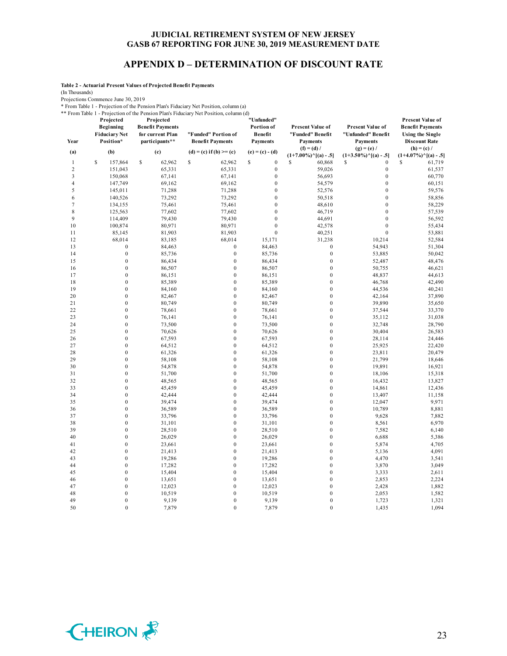### **APPENDIX D – DETERMINATION OF DISCOUNT RATE**

**Table 2 - Actuarial Present Values of Projected Benefit Payments**

(In Thousands)

Projections Commence June 30, 2019

\* From Table 1 - Projection of the Pension Plan's Fiduciary Net Position, column (a)

\*\* From Table 1 - Projection of the Pension Plan's Fiduciary Net Position, column (d)

| Year<br>(a)             | Projected<br>Beginning<br><b>Fiduciary Net</b><br>Position*<br>(b) | Projected<br><b>Benefit Payments</b><br>for current Plan<br>participants**<br>(c) | "Funded" Portion of<br><b>Benefit Payments</b><br>$(d) = (c)$ if $(b) >= (c)$ | "Unfunded"<br>Portion of<br>Benefit<br><b>Payments</b><br>$(e) = (c) - (d)$ | <b>Present Value of</b><br>"Funded" Benefit<br><b>Payments</b><br>$(f) = (d) /$ | <b>Present Value of</b><br>"Unfunded" Benefit<br><b>Payments</b><br>$(g) = (e) /$ | <b>Present Value of</b><br><b>Benefit Payments</b><br><b>Using the Single</b><br><b>Discount Rate</b><br>$(h) = (c) /$ |
|-------------------------|--------------------------------------------------------------------|-----------------------------------------------------------------------------------|-------------------------------------------------------------------------------|-----------------------------------------------------------------------------|---------------------------------------------------------------------------------|-----------------------------------------------------------------------------------|------------------------------------------------------------------------------------------------------------------------|
|                         |                                                                    |                                                                                   |                                                                               |                                                                             | $(1+7.00\%)^{\wedge}[(a) - .5]$                                                 | $(1+3.50\%)$ <sup>^</sup> [(a) - .5]                                              | $(1+4.07\%)$ <sup>^</sup> [(a) - .5]                                                                                   |
| 1                       | S<br>157,864                                                       | \$<br>62,962                                                                      | \$<br>62,962                                                                  | \$<br>$\boldsymbol{0}$                                                      | S<br>60,868                                                                     | S<br>$\mathbf{0}$                                                                 | S<br>61,719                                                                                                            |
| $\overline{c}$          | 151,043                                                            | 65,331                                                                            | 65,331                                                                        | $\boldsymbol{0}$                                                            | 59,026                                                                          | $\boldsymbol{0}$                                                                  | 61,537                                                                                                                 |
| 3                       | 150,068                                                            | 67,141                                                                            | 67,141                                                                        | $\boldsymbol{0}$                                                            | 56,693                                                                          | $\boldsymbol{0}$                                                                  | 60,770                                                                                                                 |
| $\overline{\mathbf{4}}$ | 147,749                                                            | 69,162                                                                            | 69,162                                                                        | $\mathbf{0}$                                                                | 54,579                                                                          | $\mathbf{0}$                                                                      | 60,151                                                                                                                 |
| 5                       | 145,011                                                            | 71,288                                                                            | 71,288                                                                        | $\mathbf{0}$                                                                | 52,576                                                                          | $\mathbf{0}$                                                                      | 59,576                                                                                                                 |
| 6                       | 140,526                                                            | 73,292                                                                            | 73,292                                                                        | $\mathbf{0}$                                                                | 50,518                                                                          | $\mathbf{0}$                                                                      | 58,856                                                                                                                 |
| 7                       | 134,155                                                            | 75,461                                                                            | 75,461                                                                        | $\boldsymbol{0}$                                                            | 48,610                                                                          | $\boldsymbol{0}$                                                                  | 58,229                                                                                                                 |
| 8<br>9                  | 125,563                                                            | 77,602                                                                            | 77,602                                                                        | $\boldsymbol{0}$<br>$\mathbf{0}$                                            | 46,719                                                                          | $\boldsymbol{0}$<br>$\mathbf{0}$                                                  | 57,539                                                                                                                 |
| 10                      | 114,409                                                            | 79,430<br>80,971                                                                  | 79,430<br>80,971                                                              | $\mathbf{0}$                                                                | 44,691                                                                          | $\mathbf{0}$                                                                      | 56,592                                                                                                                 |
| 11                      | 100,874                                                            | 81,903                                                                            | 81,903                                                                        | $\mathbf{0}$                                                                | 42,578                                                                          | $\mathbf{0}$                                                                      | 55,434                                                                                                                 |
| 12                      | 85,145<br>68,014                                                   | 83,185                                                                            | 68,014                                                                        | 15,171                                                                      | 40,251<br>31,238                                                                | 10,214                                                                            | 53,881<br>52,584                                                                                                       |
| 13                      | $\boldsymbol{0}$                                                   | 84,463                                                                            | $\boldsymbol{0}$                                                              | 84,463                                                                      | $\boldsymbol{0}$                                                                | 54,943                                                                            | 51,304                                                                                                                 |
| 14                      | $\boldsymbol{0}$                                                   | 85,736                                                                            | $\boldsymbol{0}$                                                              | 85,736                                                                      | $\boldsymbol{0}$                                                                | 53,885                                                                            | 50,042                                                                                                                 |
| 15                      | $\boldsymbol{0}$                                                   | 86,434                                                                            | $\boldsymbol{0}$                                                              | 86,434                                                                      | $\boldsymbol{0}$                                                                | 52,487                                                                            | 48,476                                                                                                                 |
| 16                      | $\mathbf{0}$                                                       | 86,507                                                                            | $\mathbf{0}$                                                                  | 86,507                                                                      | $\mathbf{0}$                                                                    | 50,755                                                                            | 46,621                                                                                                                 |
| 17                      | $\boldsymbol{0}$                                                   | 86,151                                                                            | $\boldsymbol{0}$                                                              | 86,151                                                                      | $\boldsymbol{0}$                                                                | 48,837                                                                            | 44,613                                                                                                                 |
| 18                      | $\boldsymbol{0}$                                                   | 85,389                                                                            | $\boldsymbol{0}$                                                              | 85,389                                                                      | $\boldsymbol{0}$                                                                | 46,768                                                                            | 42,490                                                                                                                 |
| 19                      | $\boldsymbol{0}$                                                   | 84,160                                                                            | $\mathbf{0}$                                                                  | 84,160                                                                      | $\mathbf{0}$                                                                    | 44,536                                                                            | 40,241                                                                                                                 |
| 20                      | $\boldsymbol{0}$                                                   | 82,467                                                                            | $\mathbf{0}$                                                                  | 82,467                                                                      | $\mathbf{0}$                                                                    | 42,164                                                                            | 37,890                                                                                                                 |
| 21                      | $\boldsymbol{0}$                                                   | 80,749                                                                            | $\mathbf{0}$                                                                  | 80,749                                                                      | $\mathbf{0}$                                                                    | 39,890                                                                            | 35,650                                                                                                                 |
| 22                      | $\boldsymbol{0}$                                                   | 78,661                                                                            | $\boldsymbol{0}$                                                              | 78,661                                                                      | $\boldsymbol{0}$                                                                | 37,544                                                                            | 33,370                                                                                                                 |
| 23                      | $\boldsymbol{0}$                                                   | 76,141                                                                            | $\boldsymbol{0}$                                                              | 76,141                                                                      | $\boldsymbol{0}$                                                                | 35,112                                                                            | 31,038                                                                                                                 |
| 24                      | $\boldsymbol{0}$                                                   | 73,500                                                                            | $\mathbf{0}$                                                                  | 73,500                                                                      | $\boldsymbol{0}$                                                                | 32,748                                                                            | 28,790                                                                                                                 |
| 25                      | $\mathbf{0}$                                                       | 70,626                                                                            | $\mathbf{0}$                                                                  | 70,626                                                                      | $\mathbf{0}$                                                                    | 30,404                                                                            | 26,583                                                                                                                 |
| 26                      | $\mathbf{0}$                                                       | 67,593                                                                            | $\mathbf{0}$                                                                  | 67,593                                                                      | $\mathbf{0}$                                                                    | 28,114                                                                            | 24,446                                                                                                                 |
| 27                      | $\boldsymbol{0}$                                                   | 64,512                                                                            | $\boldsymbol{0}$                                                              | 64,512                                                                      | $\boldsymbol{0}$                                                                | 25,925                                                                            | 22,420                                                                                                                 |
| 28                      | $\boldsymbol{0}$                                                   | 61,326                                                                            | $\boldsymbol{0}$                                                              | 61,326                                                                      | $\boldsymbol{0}$                                                                | 23,811                                                                            | 20,479                                                                                                                 |
| 29                      | $\boldsymbol{0}$                                                   | 58,108                                                                            | $\boldsymbol{0}$                                                              | 58,108                                                                      | $\boldsymbol{0}$                                                                | 21,799                                                                            | 18,646                                                                                                                 |
| 30                      | $\mathbf{0}$                                                       | 54,878                                                                            | $\mathbf{0}$                                                                  | 54,878                                                                      | $\mathbf{0}$                                                                    | 19,891                                                                            | 16,921                                                                                                                 |
| 31                      | $\boldsymbol{0}$                                                   | 51,700                                                                            | $\mathbf{0}$                                                                  | 51,700                                                                      | $\mathbf{0}$                                                                    | 18,106                                                                            | 15,318                                                                                                                 |
| 32                      | $\boldsymbol{0}$                                                   | 48,565                                                                            | $\boldsymbol{0}$                                                              | 48,565                                                                      | $\boldsymbol{0}$                                                                | 16,432                                                                            | 13,827                                                                                                                 |
| 33                      | $\boldsymbol{0}$                                                   | 45,459                                                                            | $\mathbf{0}$                                                                  | 45,459                                                                      | $\boldsymbol{0}$                                                                | 14,861                                                                            | 12,436                                                                                                                 |
| 34                      | $\boldsymbol{0}$                                                   | 42,444                                                                            | $\boldsymbol{0}$                                                              | 42,444                                                                      | $\boldsymbol{0}$                                                                | 13,407                                                                            | 11,158                                                                                                                 |
| 35                      | $\boldsymbol{0}$                                                   | 39,474                                                                            | $\mathbf{0}$                                                                  | 39,474                                                                      | $\mathbf{0}$                                                                    | 12,047                                                                            | 9,971                                                                                                                  |
| 36                      | $\mathbf{0}$                                                       | 36,589                                                                            | $\mathbf{0}$                                                                  | 36,589                                                                      | $\mathbf{0}$                                                                    | 10,789                                                                            | 8,881                                                                                                                  |
| 37<br>38                | $\boldsymbol{0}$<br>$\boldsymbol{0}$                               | 33,796                                                                            | $\boldsymbol{0}$<br>$\boldsymbol{0}$                                          | 33,796                                                                      | $\boldsymbol{0}$<br>$\boldsymbol{0}$                                            | 9,628                                                                             | 7,882<br>6,970                                                                                                         |
| 39                      | $\boldsymbol{0}$                                                   | 31,101<br>28,510                                                                  | $\mathbf{0}$                                                                  | 31,101<br>28,510                                                            | $\boldsymbol{0}$                                                                | 8,561<br>7,582                                                                    | 6,140                                                                                                                  |
| 40                      | $\boldsymbol{0}$                                                   | 26,029                                                                            | $\mathbf{0}$                                                                  | 26,029                                                                      | $\boldsymbol{0}$                                                                | 6,688                                                                             | 5,386                                                                                                                  |
| 41                      | $\mathbf{0}$                                                       | 23,661                                                                            | $\mathbf{0}$                                                                  | 23,661                                                                      | $\mathbf{0}$                                                                    | 5,874                                                                             | 4,705                                                                                                                  |
| 42                      | $\boldsymbol{0}$                                                   | 21,413                                                                            | $\boldsymbol{0}$                                                              | 21,413                                                                      | $\boldsymbol{0}$                                                                | 5,136                                                                             | 4,091                                                                                                                  |
| 43                      | $\boldsymbol{0}$                                                   | 19,286                                                                            | $\mathbf{0}$                                                                  | 19,286                                                                      | $\boldsymbol{0}$                                                                | 4,470                                                                             | 3,541                                                                                                                  |
| 44                      | $\boldsymbol{0}$                                                   | 17,282                                                                            | $\mathbf{0}$                                                                  | 17,282                                                                      | $\boldsymbol{0}$                                                                | 3,870                                                                             | 3,049                                                                                                                  |
| 45                      | $\boldsymbol{0}$                                                   | 15,404                                                                            | $\mathbf{0}$                                                                  | 15,404                                                                      | $\mathbf{0}$                                                                    | 3,333                                                                             | 2,611                                                                                                                  |
| 46                      | $\mathbf{0}$                                                       | 13,651                                                                            | $\mathbf{0}$                                                                  | 13,651                                                                      | $\mathbf{0}$                                                                    | 2,853                                                                             | 2,224                                                                                                                  |
| 47                      | $\boldsymbol{0}$                                                   | 12,023                                                                            | $\boldsymbol{0}$                                                              | 12,023                                                                      | $\boldsymbol{0}$                                                                | 2,428                                                                             | 1,882                                                                                                                  |
| 48                      | $\boldsymbol{0}$                                                   | 10,519                                                                            | $\mathbf{0}$                                                                  | 10,519                                                                      | $\boldsymbol{0}$                                                                | 2,053                                                                             | 1,582                                                                                                                  |
| 49                      | $\boldsymbol{0}$                                                   | 9,139                                                                             | $\mathbf{0}$                                                                  | 9,139                                                                       | $\mathbf{0}$                                                                    | 1,723                                                                             | 1,321                                                                                                                  |
| 50                      | $\theta$                                                           | 7,879                                                                             | $\Omega$                                                                      | 7,879                                                                       | $\theta$                                                                        | 1,435                                                                             | 1,094                                                                                                                  |

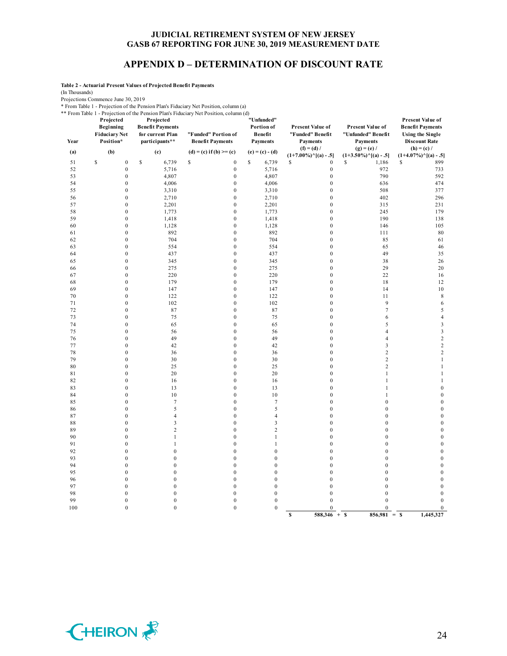### **APPENDIX D – DETERMINATION OF DISCOUNT RATE**

**Table 2 - Actuarial Present Values of Projected Benefit Payments**

(In Thousands)

Projections Commence June 30, 2019

\* From Table 1 - Projection of the Pension Plan's Fiduciary Net Position, column (a)

\*\* From Table 1 - Projection of the Pension Plan's Fiduciary Net Position, column (d)

|          | Projected                                      | Projected                                                     | Profit Table 1 - I rojection of the Pension Plan's Plutelary INCEI Ostiton, column (u) | "Unfunded"                               |                                                         |                                                           | <b>Present Value of</b>                                                    |
|----------|------------------------------------------------|---------------------------------------------------------------|----------------------------------------------------------------------------------------|------------------------------------------|---------------------------------------------------------|-----------------------------------------------------------|----------------------------------------------------------------------------|
| Year     | Beginning<br><b>Fiduciary Net</b><br>Position* | <b>Benefit Payments</b><br>for current Plan<br>participants** | "Funded" Portion of<br><b>Benefit Payments</b>                                         | Portion of<br>Benefit<br><b>Payments</b> | Present Value of<br>"Funded" Benefit<br><b>Payments</b> | Present Value of<br>"Unfunded" Benefit<br><b>Payments</b> | <b>Benefit Payments</b><br><b>Using the Single</b><br><b>Discount Rate</b> |
| (a)      | (b)                                            | (c)                                                           | $(d) = (c)$ if $(b) >= (c)$                                                            | $(e) = (c) - (d)$                        | $(f) = (d) /$                                           | $(g) = (e) /$                                             | $(h) = (c) /$                                                              |
|          | $\mathbb{S}$<br>$\boldsymbol{0}$               | $\mathbb{S}$                                                  |                                                                                        | \$                                       | $(1+7.00\%)$ <sup>^</sup> [(a) - .5]                    | $(1+3.50\%)$ <sup>^</sup> [(a) - .5]<br>S                 | $(1+4.07\%)$ <sup>^</sup> [(a) - .5]<br>\$                                 |
| 51<br>52 | $\mathbf{0}$                                   | 6,739<br>5,716                                                | \$<br>$\boldsymbol{0}$<br>$\boldsymbol{0}$                                             | 6,739<br>5,716                           | $\boldsymbol{0}$<br>\$<br>$\boldsymbol{0}$              | 1,186<br>972                                              | 899<br>733                                                                 |
| 53       | $\boldsymbol{0}$                               | 4,807                                                         | $\boldsymbol{0}$                                                                       | 4,807                                    | $\boldsymbol{0}$                                        | 790                                                       | 592                                                                        |
| 54       | $\boldsymbol{0}$                               | 4,006                                                         | $\boldsymbol{0}$                                                                       | 4,006                                    | $\boldsymbol{0}$                                        | 636                                                       | 474                                                                        |
| 55       | $\boldsymbol{0}$                               | 3,310                                                         | $\boldsymbol{0}$                                                                       | 3,310                                    | $\boldsymbol{0}$                                        | 508                                                       | 377                                                                        |
| 56       | $\boldsymbol{0}$                               | 2,710                                                         | $\boldsymbol{0}$                                                                       | 2,710                                    | $\boldsymbol{0}$                                        | 402                                                       | 296                                                                        |
| 57       | $\boldsymbol{0}$                               | 2,201                                                         | $\boldsymbol{0}$                                                                       | 2,201                                    | $\boldsymbol{0}$                                        | 315                                                       | 231                                                                        |
| 58       | $\boldsymbol{0}$                               | 1,773                                                         | $\boldsymbol{0}$                                                                       | 1,773                                    | $\boldsymbol{0}$                                        | 245                                                       | 179                                                                        |
| 59       | $\boldsymbol{0}$                               | 1,418                                                         | $\boldsymbol{0}$                                                                       | 1,418                                    | $\boldsymbol{0}$                                        | 190                                                       | 138                                                                        |
| 60       | $\boldsymbol{0}$                               | 1,128                                                         | $\boldsymbol{0}$                                                                       | 1,128                                    | $\boldsymbol{0}$                                        | 146                                                       | 105                                                                        |
| 61       | $\boldsymbol{0}$                               | 892                                                           | $\boldsymbol{0}$                                                                       | 892                                      | $\boldsymbol{0}$                                        | 111                                                       | $\rm 80$                                                                   |
| 62       | $\boldsymbol{0}$                               | 704                                                           | $\boldsymbol{0}$                                                                       | 704                                      | $\boldsymbol{0}$                                        | 85                                                        | 61                                                                         |
| 63       | $\mathbf{0}$                                   | 554                                                           | $\boldsymbol{0}$                                                                       | 554                                      | $\boldsymbol{0}$                                        | 65                                                        | 46                                                                         |
| 64       | $\mathbf{0}$                                   | 437                                                           | $\mathbf{0}$                                                                           | 437                                      | $\boldsymbol{0}$                                        | 49                                                        | 35                                                                         |
| 65       | $\boldsymbol{0}$                               | 345                                                           | $\boldsymbol{0}$                                                                       | 345                                      | $\boldsymbol{0}$                                        | 38                                                        | 26                                                                         |
| 66       | $\boldsymbol{0}$                               | 275                                                           | $\boldsymbol{0}$                                                                       | 275                                      | $\boldsymbol{0}$                                        | 29                                                        | 20                                                                         |
| 67       | $\boldsymbol{0}$                               | 220                                                           | $\boldsymbol{0}$                                                                       | 220                                      | $\boldsymbol{0}$                                        | 22                                                        | 16                                                                         |
| 68       | $\boldsymbol{0}$                               | 179                                                           | $\boldsymbol{0}$                                                                       | 179                                      | $\boldsymbol{0}$                                        | 18                                                        | 12                                                                         |
| 69       | $\mathbf{0}$                                   | 147                                                           | $\mathbf{0}$                                                                           | 147                                      | $\boldsymbol{0}$                                        | 14                                                        | 10                                                                         |
| 70       | $\boldsymbol{0}$                               | 122                                                           | $\boldsymbol{0}$                                                                       | 122                                      | $\boldsymbol{0}$                                        | 11                                                        | $\,$ 8 $\,$                                                                |
| 71       | 0                                              | 102                                                           | $\boldsymbol{0}$                                                                       | 102                                      | $\boldsymbol{0}$                                        | 9                                                         | 6                                                                          |
| 72       | $\boldsymbol{0}$                               | 87                                                            | $\boldsymbol{0}$                                                                       | 87                                       | $\boldsymbol{0}$                                        | $\tau$                                                    | 5                                                                          |
| 73       | $\mathbf{0}$                                   | 75                                                            | $\mathbf{0}$                                                                           | 75                                       | $\boldsymbol{0}$                                        | 6                                                         | $\overline{4}$                                                             |
| 74       | $\mathbf{0}$                                   | 65                                                            | $\boldsymbol{0}$                                                                       | 65                                       | $\boldsymbol{0}$                                        | 5                                                         | $\mathfrak{Z}$                                                             |
| 75       | $\boldsymbol{0}$                               | 56                                                            | $\boldsymbol{0}$                                                                       | 56                                       | $\boldsymbol{0}$                                        | $\overline{4}$                                            | 3                                                                          |
| 76       | $\boldsymbol{0}$                               | 49                                                            | $\boldsymbol{0}$                                                                       | 49                                       | $\boldsymbol{0}$                                        | $\overline{4}$                                            | $\sqrt{2}$                                                                 |
| 77       | $\boldsymbol{0}$                               | 42                                                            | $\boldsymbol{0}$                                                                       | 42                                       | $\boldsymbol{0}$                                        | $\overline{\mathbf{3}}$                                   | $\sqrt{2}$                                                                 |
| 78       | $\mathbf{0}$                                   | 36                                                            | $\mathbf{0}$                                                                           | 36                                       | $\boldsymbol{0}$                                        | $\overline{c}$                                            | $\overline{2}$                                                             |
| 79       | $\mathbf{0}$                                   | 30                                                            | $\boldsymbol{0}$                                                                       | 30                                       | $\boldsymbol{0}$                                        | $\overline{c}$                                            | $\mathbf{1}$                                                               |
| 80       | $\boldsymbol{0}$<br>$\boldsymbol{0}$           | 25                                                            | $\boldsymbol{0}$<br>$\boldsymbol{0}$                                                   | 25                                       | $\boldsymbol{0}$<br>$\boldsymbol{0}$                    | $\overline{c}$<br>$\mathbf{1}$                            | $\mathbf{1}$<br>$\mathbf{1}$                                               |
| 81<br>82 | $\boldsymbol{0}$                               | 20<br>16                                                      | $\boldsymbol{0}$                                                                       | 20<br>16                                 | $\boldsymbol{0}$                                        | 1                                                         | $\mathbf{1}$                                                               |
| 83       | $\mathbf{0}$                                   | 13                                                            | $\boldsymbol{0}$                                                                       | 13                                       | $\boldsymbol{0}$                                        | 1                                                         | $\mathbf{0}$                                                               |
| 84       | $\boldsymbol{0}$                               | 10                                                            | $\boldsymbol{0}$                                                                       | 10                                       | $\boldsymbol{0}$                                        | $\mathbf{1}$                                              | $\boldsymbol{0}$                                                           |
| 85       | $\boldsymbol{0}$                               | $\tau$                                                        | $\boldsymbol{0}$                                                                       | $\overline{7}$                           | $\boldsymbol{0}$                                        | $\mathbf{0}$                                              | $\boldsymbol{0}$                                                           |
| 86       | $\mathbf{0}$                                   | 5                                                             | $\boldsymbol{0}$                                                                       | 5                                        | $\boldsymbol{0}$                                        | $\mathbf{0}$                                              | $\boldsymbol{0}$                                                           |
| 87       | $\boldsymbol{0}$                               | 4                                                             | $\boldsymbol{0}$                                                                       | $\overline{4}$                           | $\boldsymbol{0}$                                        | $\boldsymbol{0}$                                          | $\boldsymbol{0}$                                                           |
| 88       | $\mathbf{0}$                                   | 3                                                             | $\boldsymbol{0}$                                                                       | $\mathfrak{Z}$                           | $\boldsymbol{0}$                                        | $\mathbf{0}$                                              | $\mathbf{0}$                                                               |
| 89       | $\mathbf{0}$                                   | $\overline{c}$                                                | $\mathbf{0}$                                                                           | $\overline{c}$                           | $\boldsymbol{0}$                                        | $\mathbf{0}$                                              | $\boldsymbol{0}$                                                           |
| 90       | $\boldsymbol{0}$                               | $\mathbf{1}$                                                  | $\boldsymbol{0}$                                                                       | $\mathbf{1}$                             | $\boldsymbol{0}$                                        | $\mathbf{0}$                                              | $\boldsymbol{0}$                                                           |
| 91       | $\boldsymbol{0}$                               | 1                                                             | $\boldsymbol{0}$                                                                       | $\mathbf{1}$                             | $\boldsymbol{0}$                                        | $\mathbf{0}$                                              | $\boldsymbol{0}$                                                           |
| 92       | $\boldsymbol{0}$                               | $\mathbf{0}$                                                  | $\boldsymbol{0}$                                                                       | $\boldsymbol{0}$                         | $\boldsymbol{0}$                                        | $\boldsymbol{0}$                                          | $\boldsymbol{0}$                                                           |
| 93       | $\boldsymbol{0}$                               | $\boldsymbol{0}$                                              | $\boldsymbol{0}$                                                                       | $\boldsymbol{0}$                         | $\boldsymbol{0}$                                        | $\boldsymbol{0}$                                          | $\boldsymbol{0}$                                                           |
| 94       | $\boldsymbol{0}$                               | $\mathbf{0}$                                                  | $\boldsymbol{0}$                                                                       | $\boldsymbol{0}$                         | $\boldsymbol{0}$                                        | $\boldsymbol{0}$                                          | $\mathbf{0}$                                                               |
| 95       | $\mathbf{0}$                                   | $\mathbf{0}$                                                  | $\boldsymbol{0}$                                                                       | $\boldsymbol{0}$                         | $\boldsymbol{0}$                                        | $\mathbf{0}$                                              | $\boldsymbol{0}$                                                           |
| 96       | $\mathbf{0}$                                   | $\mathbf{0}$                                                  | $\boldsymbol{0}$                                                                       | $\boldsymbol{0}$                         | $\boldsymbol{0}$                                        | $\mathbf{0}$                                              | $\boldsymbol{0}$                                                           |
| 97       | $\boldsymbol{0}$                               | $\boldsymbol{0}$                                              | $\boldsymbol{0}$                                                                       | $\boldsymbol{0}$                         | $\boldsymbol{0}$                                        | $\boldsymbol{0}$                                          | $\boldsymbol{0}$                                                           |
| 98       | $\boldsymbol{0}$                               | $\boldsymbol{0}$                                              | $\boldsymbol{0}$                                                                       | $\boldsymbol{0}$                         | $\boldsymbol{0}$                                        | $\mathbf{0}$                                              | $\boldsymbol{0}$                                                           |
| 99       | $\mathbf{0}$                                   | $\boldsymbol{0}$                                              | $\boldsymbol{0}$                                                                       | $\mathbf{0}$                             | $\mathbf{0}$                                            | $\theta$                                                  | $\mathbf{0}$                                                               |
| 100      | $\mathbf{0}$                                   | $\mathbf{0}$                                                  | $\mathbf{0}$                                                                           | $\mathbf{0}$                             | $\mathbf{0}$                                            | $\mathbf{0}$                                              | $\mathbf{0}$                                                               |
|          |                                                |                                                               |                                                                                        |                                          | $588,346 + S$<br>$\mathbf s$                            | $856,981 = S$                                             | 1,445,327                                                                  |

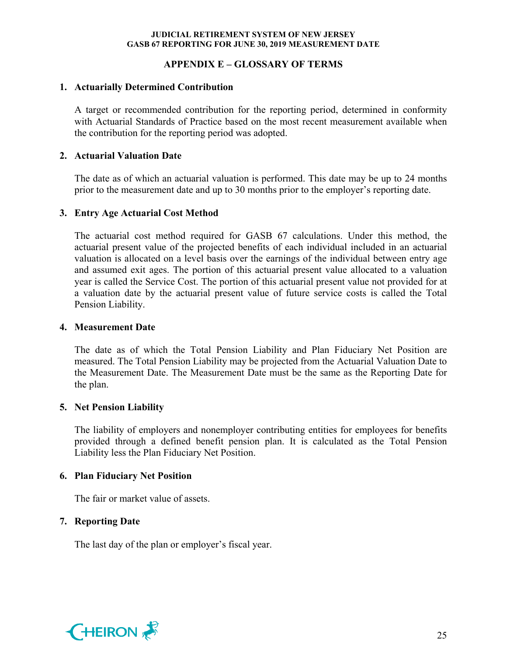### **APPENDIX E – GLOSSARY OF TERMS**

### **1. Actuarially Determined Contribution**

A target or recommended contribution for the reporting period, determined in conformity with Actuarial Standards of Practice based on the most recent measurement available when the contribution for the reporting period was adopted.

#### **2. Actuarial Valuation Date**

The date as of which an actuarial valuation is performed. This date may be up to 24 months prior to the measurement date and up to 30 months prior to the employer's reporting date.

### **3. Entry Age Actuarial Cost Method**

The actuarial cost method required for GASB 67 calculations. Under this method, the actuarial present value of the projected benefits of each individual included in an actuarial valuation is allocated on a level basis over the earnings of the individual between entry age and assumed exit ages. The portion of this actuarial present value allocated to a valuation year is called the Service Cost. The portion of this actuarial present value not provided for at a valuation date by the actuarial present value of future service costs is called the Total Pension Liability.

#### **4. Measurement Date**

The date as of which the Total Pension Liability and Plan Fiduciary Net Position are measured. The Total Pension Liability may be projected from the Actuarial Valuation Date to the Measurement Date. The Measurement Date must be the same as the Reporting Date for the plan.

### **5. Net Pension Liability**

The liability of employers and nonemployer contributing entities for employees for benefits provided through a defined benefit pension plan. It is calculated as the Total Pension Liability less the Plan Fiduciary Net Position.

### **6. Plan Fiduciary Net Position**

The fair or market value of assets.

### **7. Reporting Date**

The last day of the plan or employer's fiscal year.